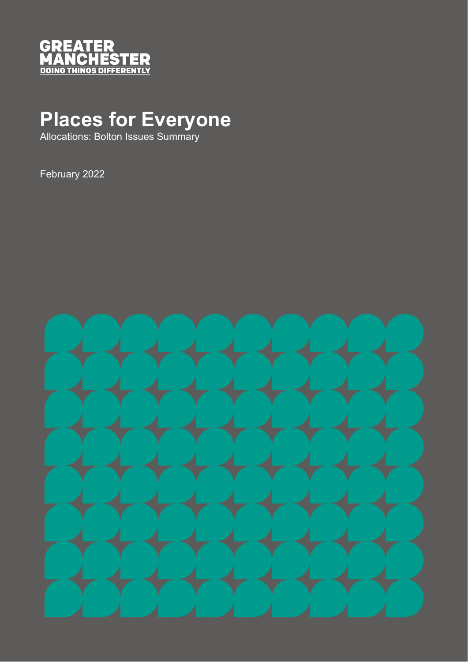

# **Places for Everyone**

Allocations: Bolton Issues Summary

February 2022

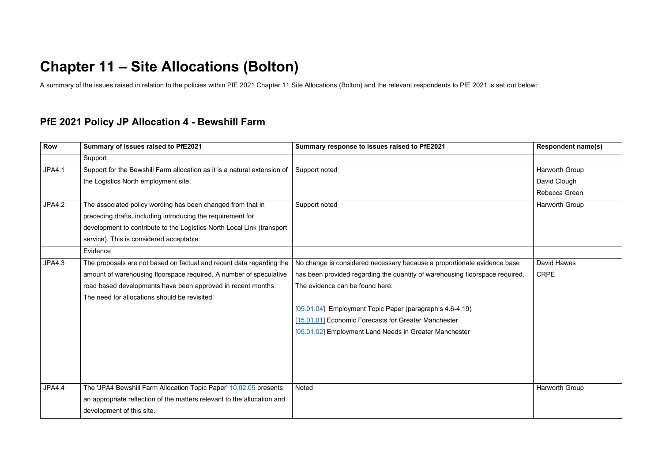# **Chapter 11 – Site Allocations (Bolton)**

A summary of the issues raised in relation to the policies within PfE 2021 Chapter 11 Site Allocations (Bolton) and the relevant respondents to PfE 2021 is set out below:

#### **PfE 2021 Policy JP Allocation 4 - Bewshill Farm**

| <b>Row</b>    | Summary of issues raised to PfE2021                                      | Summary response to issues raised to PfE2021                                 | <b>Respondent name(s)</b> |
|---------------|--------------------------------------------------------------------------|------------------------------------------------------------------------------|---------------------------|
|               | Support                                                                  |                                                                              |                           |
| <b>JPA4.1</b> | Support for the Bewshill Farm allocation as it is a natural extension of | Support noted                                                                | Harworth Group            |
|               | the Logistics North employment site.                                     |                                                                              | David Clough              |
|               |                                                                          |                                                                              | Rebecca Green             |
| <b>JPA4.2</b> | The associated policy wording has been changed from that in              | Support noted                                                                | Harworth Group            |
|               | preceding drafts, including introducing the requirement for              |                                                                              |                           |
|               | development to contribute to the Logistics North Local Link (transport   |                                                                              |                           |
|               | service). This is considered acceptable.                                 |                                                                              |                           |
|               | Evidence                                                                 |                                                                              |                           |
| <b>JPA4.3</b> | The proposals are not based on factual and recent data regarding the     | No change is considered necessary because a proportionate evidence base      | <b>David Hawes</b>        |
|               | amount of warehousing floorspace required. A number of speculative       | has been provided regarding the quantity of warehousing floorspace required. | <b>CRPE</b>               |
|               | road based developments have been approved in recent months.             | The evidence can be found here:                                              |                           |
|               | The need for allocations should be revisited.                            |                                                                              |                           |
|               |                                                                          | [05.01.04] Employment Topic Paper (paragraph's 4.6-4.19)                     |                           |
|               |                                                                          | [15.01.01] Economic Forecasts for Greater Manchester                         |                           |
|               |                                                                          | [05.01.02] Employment Land Needs in Greater Manchester                       |                           |
|               |                                                                          |                                                                              |                           |
|               |                                                                          |                                                                              |                           |
|               |                                                                          |                                                                              |                           |
|               |                                                                          |                                                                              |                           |
| <b>JPA4.4</b> | The 'JPA4 Bewshill Farm Allocation Topic Paper' 10.02.05 presents        | <b>Noted</b>                                                                 | <b>Harworth Group</b>     |
|               | an appropriate reflection of the matters relevant to the allocation and  |                                                                              |                           |
|               | development of this site.                                                |                                                                              |                           |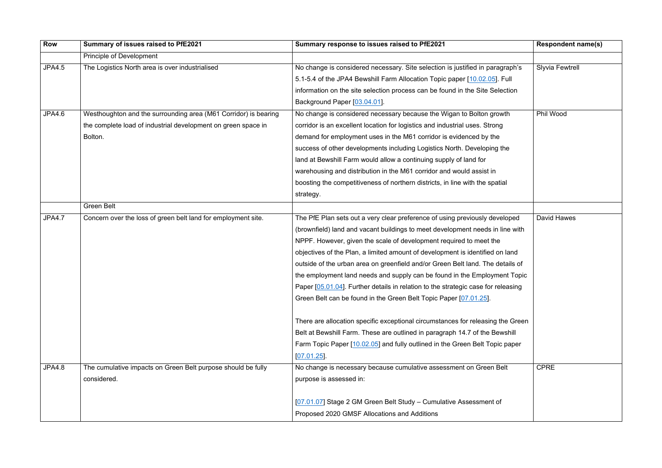| <b>Row</b>    | Summary of issues raised to PfE2021                             | Summary response to issues raised to PfE2021                                      | <b>Respondent name(s)</b> |
|---------------|-----------------------------------------------------------------|-----------------------------------------------------------------------------------|---------------------------|
|               | <b>Principle of Development</b>                                 |                                                                                   |                           |
| <b>JPA4.5</b> | The Logistics North area is over industrialised                 | No change is considered necessary. Site selection is justified in paragraph's     | <b>Slyvia Fewtrell</b>    |
|               |                                                                 | 5.1-5.4 of the JPA4 Bewshill Farm Allocation Topic paper [10.02.05]. Full         |                           |
|               |                                                                 | information on the site selection process can be found in the Site Selection      |                           |
|               |                                                                 | Background Paper [03.04.01].                                                      |                           |
| JPA4.6        | Westhoughton and the surrounding area (M61 Corridor) is bearing | No change is considered necessary because the Wigan to Bolton growth              | Phil Wood                 |
|               | the complete load of industrial development on green space in   | corridor is an excellent location for logistics and industrial uses. Strong       |                           |
|               | Bolton.                                                         | demand for employment uses in the M61 corridor is evidenced by the                |                           |
|               |                                                                 | success of other developments including Logistics North. Developing the           |                           |
|               |                                                                 | land at Bewshill Farm would allow a continuing supply of land for                 |                           |
|               |                                                                 | warehousing and distribution in the M61 corridor and would assist in              |                           |
|               |                                                                 | boosting the competitiveness of northern districts, in line with the spatial      |                           |
|               |                                                                 | strategy.                                                                         |                           |
|               | <b>Green Belt</b>                                               |                                                                                   |                           |
| <b>JPA4.7</b> | Concern over the loss of green belt land for employment site.   | The PfE Plan sets out a very clear preference of using previously developed       | <b>David Hawes</b>        |
|               |                                                                 | (brownfield) land and vacant buildings to meet development needs in line with     |                           |
|               |                                                                 | NPPF. However, given the scale of development required to meet the                |                           |
|               |                                                                 | objectives of the Plan, a limited amount of development is identified on land     |                           |
|               |                                                                 | outside of the urban area on greenfield and/or Green Belt land. The details of    |                           |
|               |                                                                 | the employment land needs and supply can be found in the Employment Topic         |                           |
|               |                                                                 | Paper [05.01.04]. Further details in relation to the strategic case for releasing |                           |
|               |                                                                 | Green Belt can be found in the Green Belt Topic Paper [07.01.25].                 |                           |
|               |                                                                 | There are allocation specific exceptional circumstances for releasing the Green   |                           |
|               |                                                                 | Belt at Bewshill Farm. These are outlined in paragraph 14.7 of the Bewshill       |                           |
|               |                                                                 | Farm Topic Paper [10.02.05] and fully outlined in the Green Belt Topic paper      |                           |
|               |                                                                 | [07.01.25]                                                                        |                           |
| <b>JPA4.8</b> | The cumulative impacts on Green Belt purpose should be fully    | No change is necessary because cumulative assessment on Green Belt                | <b>CPRE</b>               |
|               | considered.                                                     | purpose is assessed in:                                                           |                           |
|               |                                                                 | [07.01.07] Stage 2 GM Green Belt Study - Cumulative Assessment of                 |                           |
|               |                                                                 | Proposed 2020 GMSF Allocations and Additions                                      |                           |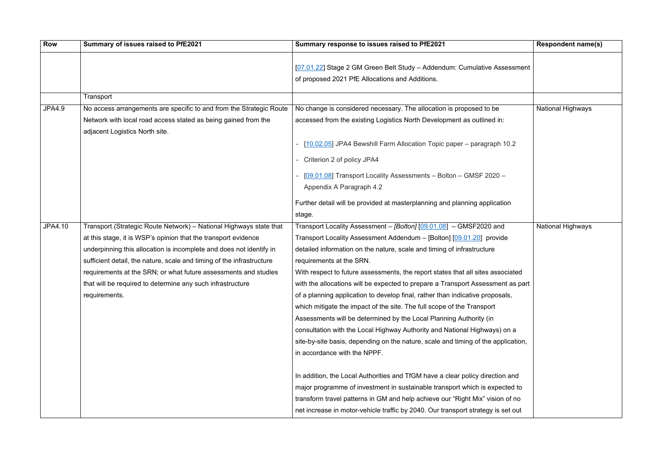| Row           | Summary of issues raised to PfE2021                                   | Summary response to issues raised to PfE2021                                      | <b>Respondent name(s)</b> |
|---------------|-----------------------------------------------------------------------|-----------------------------------------------------------------------------------|---------------------------|
|               |                                                                       |                                                                                   |                           |
|               |                                                                       | [07.01.22] Stage 2 GM Green Belt Study - Addendum: Cumulative Assessment          |                           |
|               |                                                                       | of proposed 2021 PfE Allocations and Additions.                                   |                           |
|               | Transport                                                             |                                                                                   |                           |
| <b>JPA4.9</b> | No access arrangements are specific to and from the Strategic Route   | No change is considered necessary. The allocation is proposed to be               | National Highways         |
|               | Network with local road access stated as being gained from the        | accessed from the existing Logistics North Development as outlined in:            |                           |
|               | adjacent Logistics North site.                                        |                                                                                   |                           |
|               |                                                                       | - [10.02.05] JPA4 Bewshill Farm Allocation Topic paper - paragraph 10.2           |                           |
|               |                                                                       | - Criterion 2 of policy JPA4                                                      |                           |
|               |                                                                       | [09.01.08] Transport Locality Assessments - Bolton - GMSF 2020 -                  |                           |
|               |                                                                       | Appendix A Paragraph 4.2                                                          |                           |
|               |                                                                       | Further detail will be provided at masterplanning and planning application        |                           |
|               |                                                                       | stage.                                                                            |                           |
| JPA4.10       | Transport (Strategic Route Network) - National Highways state that    | Transport Locality Assessment - [Bolton] [09.01.08] - GMSF2020 and                | National Highways         |
|               | at this stage, it is WSP's opinion that the transport evidence        | Transport Locality Assessment Addendum - [Bolton] [09.01.20] provide              |                           |
|               | underpinning this allocation is incomplete and does not identify in   | detailed information on the nature, scale and timing of infrastructure            |                           |
|               | sufficient detail, the nature, scale and timing of the infrastructure | requirements at the SRN.                                                          |                           |
|               | requirements at the SRN; or what future assessments and studies       | With respect to future assessments, the report states that all sites associated   |                           |
|               | that will be required to determine any such infrastructure            | with the allocations will be expected to prepare a Transport Assessment as part   |                           |
|               | requirements.                                                         | of a planning application to develop final, rather than indicative proposals,     |                           |
|               |                                                                       | which mitigate the impact of the site. The full scope of the Transport            |                           |
|               |                                                                       | Assessments will be determined by the Local Planning Authority (in                |                           |
|               |                                                                       | consultation with the Local Highway Authority and National Highways) on a         |                           |
|               |                                                                       | site-by-site basis, depending on the nature, scale and timing of the application, |                           |
|               |                                                                       | in accordance with the NPPF.                                                      |                           |
|               |                                                                       |                                                                                   |                           |
|               |                                                                       | In addition, the Local Authorities and TfGM have a clear policy direction and     |                           |
|               |                                                                       | major programme of investment in sustainable transport which is expected to       |                           |
|               |                                                                       | transform travel patterns in GM and help achieve our "Right Mix" vision of no     |                           |
|               |                                                                       | net increase in motor-vehicle traffic by 2040. Our transport strategy is set out  |                           |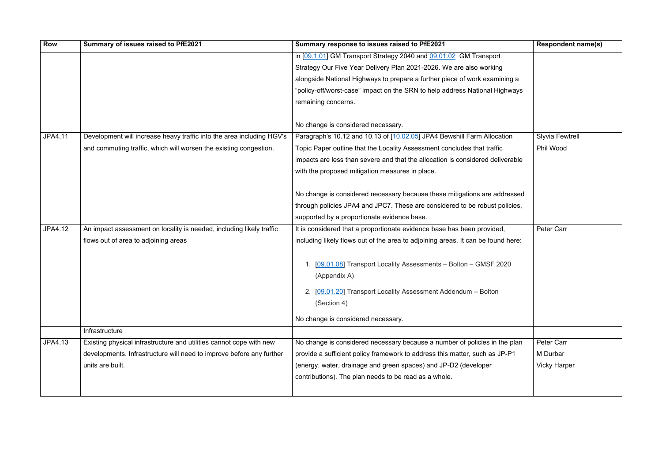| <b>Row</b>     | Summary of issues raised to PfE2021                                   | Summary response to issues raised to PfE2021                                     | <b>Respondent name(s)</b> |
|----------------|-----------------------------------------------------------------------|----------------------------------------------------------------------------------|---------------------------|
|                |                                                                       | in [09.1.01] GM Transport Strategy 2040 and 09.01.02 GM Transport                |                           |
|                |                                                                       | Strategy Our Five Year Delivery Plan 2021-2026. We are also working              |                           |
|                |                                                                       | alongside National Highways to prepare a further piece of work examining a       |                           |
|                |                                                                       | "policy-off/worst-case" impact on the SRN to help address National Highways      |                           |
|                |                                                                       | remaining concerns.                                                              |                           |
|                |                                                                       |                                                                                  |                           |
|                |                                                                       | No change is considered necessary.                                               |                           |
| <b>JPA4.11</b> | Development will increase heavy traffic into the area including HGV's | Paragraph's 10.12 and 10.13 of [10.02.05] JPA4 Bewshill Farm Allocation          | <b>Slyvia Fewtrell</b>    |
|                | and commuting traffic, which will worsen the existing congestion.     | Topic Paper outline that the Locality Assessment concludes that traffic          | Phil Wood                 |
|                |                                                                       | impacts are less than severe and that the allocation is considered deliverable   |                           |
|                |                                                                       | with the proposed mitigation measures in place.                                  |                           |
|                |                                                                       |                                                                                  |                           |
|                |                                                                       | No change is considered necessary because these mitigations are addressed        |                           |
|                |                                                                       | through policies JPA4 and JPC7. These are considered to be robust policies,      |                           |
|                |                                                                       | supported by a proportionate evidence base.                                      |                           |
| <b>JPA4.12</b> | An impact assessment on locality is needed, including likely traffic  | It is considered that a proportionate evidence base has been provided,           | Peter Carr                |
|                | flows out of area to adjoining areas                                  | including likely flows out of the area to adjoining areas. It can be found here: |                           |
|                |                                                                       |                                                                                  |                           |
|                |                                                                       | 1. [09.01.08] Transport Locality Assessments - Bolton - GMSF 2020                |                           |
|                |                                                                       | (Appendix A)                                                                     |                           |
|                |                                                                       | [09.01.20] Transport Locality Assessment Addendum - Bolton                       |                           |
|                |                                                                       | (Section 4)                                                                      |                           |
|                |                                                                       |                                                                                  |                           |
|                |                                                                       | No change is considered necessary.                                               |                           |
|                | Infrastructure                                                        |                                                                                  |                           |
| JPA4.13        | Existing physical infrastructure and utilities cannot cope with new   | No change is considered necessary because a number of policies in the plan       | Peter Carr                |
|                | developments. Infrastructure will need to improve before any further  | provide a sufficient policy framework to address this matter, such as JP-P1      | M Durbar                  |
|                | units are built.                                                      | (energy, water, drainage and green spaces) and JP-D2 (developer                  | <b>Vicky Harper</b>       |
|                |                                                                       | contributions). The plan needs to be read as a whole.                            |                           |
|                |                                                                       |                                                                                  |                           |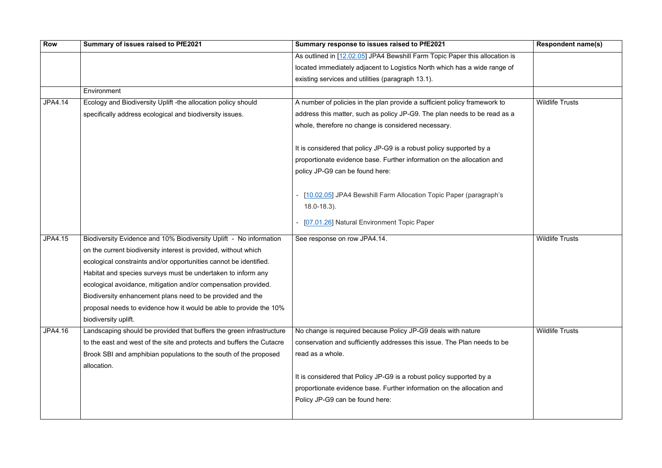| <b>Row</b>     | Summary of issues raised to PfE2021                                   | Summary response to issues raised to PfE2021                                          | <b>Respondent name(s)</b> |
|----------------|-----------------------------------------------------------------------|---------------------------------------------------------------------------------------|---------------------------|
|                |                                                                       | As outlined in [12.02.05] JPA4 Bewshill Farm Topic Paper this allocation is           |                           |
|                |                                                                       | located immediately adjacent to Logistics North which has a wide range of             |                           |
|                |                                                                       | existing services and utilities (paragraph 13.1).                                     |                           |
|                | Environment                                                           |                                                                                       |                           |
| <b>JPA4.14</b> | Ecology and Biodiversity Uplift -the allocation policy should         | A number of policies in the plan provide a sufficient policy framework to             | <b>Wildlife Trusts</b>    |
|                | specifically address ecological and biodiversity issues.              | address this matter, such as policy JP-G9. The plan needs to be read as a             |                           |
|                |                                                                       | whole, therefore no change is considered necessary.                                   |                           |
|                |                                                                       | It is considered that policy JP-G9 is a robust policy supported by a                  |                           |
|                |                                                                       | proportionate evidence base. Further information on the allocation and                |                           |
|                |                                                                       | policy JP-G9 can be found here:                                                       |                           |
|                |                                                                       | [10.02.05] JPA4 Bewshill Farm Allocation Topic Paper (paragraph's<br>$18.0 - 18.3$ ). |                           |
|                |                                                                       | [07.01.26] Natural Environment Topic Paper                                            |                           |
| <b>JPA4.15</b> | Biodiversity Evidence and 10% Biodiversity Uplift - No information    | See response on row JPA4.14.                                                          | <b>Wildlife Trusts</b>    |
|                | on the current biodiversity interest is provided, without which       |                                                                                       |                           |
|                | ecological constraints and/or opportunities cannot be identified.     |                                                                                       |                           |
|                | Habitat and species surveys must be undertaken to inform any          |                                                                                       |                           |
|                | ecological avoidance, mitigation and/or compensation provided.        |                                                                                       |                           |
|                | Biodiversity enhancement plans need to be provided and the            |                                                                                       |                           |
|                | proposal needs to evidence how it would be able to provide the 10%    |                                                                                       |                           |
|                | biodiversity uplift.                                                  |                                                                                       |                           |
| JPA4.16        | Landscaping should be provided that buffers the green infrastructure  | No change is required because Policy JP-G9 deals with nature                          | <b>Wildlife Trusts</b>    |
|                | to the east and west of the site and protects and buffers the Cutacre | conservation and sufficiently addresses this issue. The Plan needs to be              |                           |
|                | Brook SBI and amphibian populations to the south of the proposed      | read as a whole.                                                                      |                           |
|                | allocation.                                                           |                                                                                       |                           |
|                |                                                                       | It is considered that Policy JP-G9 is a robust policy supported by a                  |                           |
|                |                                                                       | proportionate evidence base. Further information on the allocation and                |                           |
|                |                                                                       | Policy JP-G9 can be found here:                                                       |                           |
|                |                                                                       |                                                                                       |                           |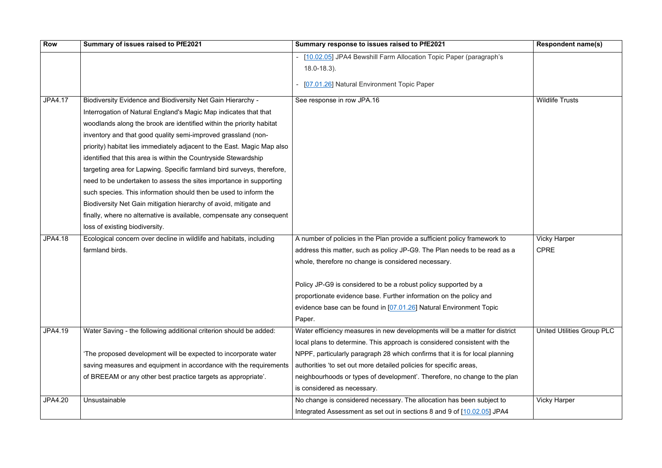| Row            | Summary of issues raised to PfE2021                                     | Summary response to issues raised to PfE2021                                 | <b>Respondent name(s)</b>         |
|----------------|-------------------------------------------------------------------------|------------------------------------------------------------------------------|-----------------------------------|
|                |                                                                         | - [10.02.05] JPA4 Bewshill Farm Allocation Topic Paper (paragraph's          |                                   |
|                |                                                                         | $18.0 - 18.3$ ).                                                             |                                   |
|                |                                                                         | [07.01.26] Natural Environment Topic Paper                                   |                                   |
| <b>JPA4.17</b> | Biodiversity Evidence and Biodiversity Net Gain Hierarchy -             | See response in row JPA.16                                                   | <b>Wildlife Trusts</b>            |
|                | Interrogation of Natural England's Magic Map indicates that that        |                                                                              |                                   |
|                | woodlands along the brook are identified within the priority habitat    |                                                                              |                                   |
|                | inventory and that good quality semi-improved grassland (non-           |                                                                              |                                   |
|                | priority) habitat lies immediately adjacent to the East. Magic Map also |                                                                              |                                   |
|                | identified that this area is within the Countryside Stewardship         |                                                                              |                                   |
|                | targeting area for Lapwing. Specific farmland bird surveys, therefore,  |                                                                              |                                   |
|                | need to be undertaken to assess the sites importance in supporting      |                                                                              |                                   |
|                | such species. This information should then be used to inform the        |                                                                              |                                   |
|                | Biodiversity Net Gain mitigation hierarchy of avoid, mitigate and       |                                                                              |                                   |
|                | finally, where no alternative is available, compensate any consequent   |                                                                              |                                   |
|                | loss of existing biodiversity.                                          |                                                                              |                                   |
| <b>JPA4.18</b> | Ecological concern over decline in wildlife and habitats, including     | A number of policies in the Plan provide a sufficient policy framework to    | <b>Vicky Harper</b>               |
|                | farmland birds.                                                         | address this matter, such as policy JP-G9. The Plan needs to be read as a    | <b>CPRE</b>                       |
|                |                                                                         | whole, therefore no change is considered necessary.                          |                                   |
|                |                                                                         |                                                                              |                                   |
|                |                                                                         | Policy JP-G9 is considered to be a robust policy supported by a              |                                   |
|                |                                                                         | proportionate evidence base. Further information on the policy and           |                                   |
|                |                                                                         | evidence base can be found in [07.01.26] Natural Environment Topic           |                                   |
|                |                                                                         | Paper.                                                                       |                                   |
| JPA4.19        | Water Saving - the following additional criterion should be added:      | Water efficiency measures in new developments will be a matter for district  | <b>United Utilities Group PLC</b> |
|                |                                                                         | local plans to determine. This approach is considered consistent with the    |                                   |
|                | The proposed development will be expected to incorporate water          | NPPF, particularly paragraph 28 which confirms that it is for local planning |                                   |
|                | saving measures and equipment in accordance with the requirements       | authorities 'to set out more detailed policies for specific areas,           |                                   |
|                | of BREEAM or any other best practice targets as appropriate'.           | neighbourhoods or types of development'. Therefore, no change to the plan    |                                   |
|                |                                                                         | is considered as necessary.                                                  |                                   |
| <b>JPA4.20</b> | Unsustainable                                                           | No change is considered necessary. The allocation has been subject to        | <b>Vicky Harper</b>               |
|                |                                                                         | Integrated Assessment as set out in sections 8 and 9 of [10.02.05] JPA4      |                                   |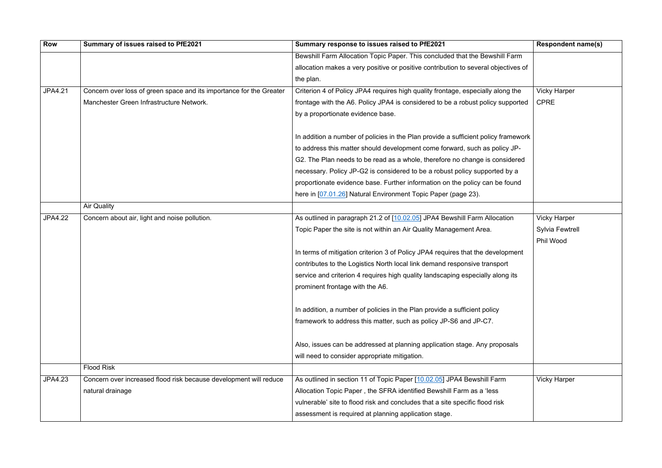| <b>Row</b>     | Summary of issues raised to PfE2021                                 | Summary response to issues raised to PfE2021                                                                                                 | <b>Respondent name(s)</b> |
|----------------|---------------------------------------------------------------------|----------------------------------------------------------------------------------------------------------------------------------------------|---------------------------|
|                |                                                                     | Bewshill Farm Allocation Topic Paper. This concluded that the Bewshill Farm                                                                  |                           |
|                |                                                                     | allocation makes a very positive or positive contribution to several objectives of                                                           |                           |
|                |                                                                     | the plan.                                                                                                                                    |                           |
| <b>JPA4.21</b> | Concern over loss of green space and its importance for the Greater | Criterion 4 of Policy JPA4 requires high quality frontage, especially along the                                                              | <b>Vicky Harper</b>       |
|                | Manchester Green Infrastructure Network.                            | frontage with the A6. Policy JPA4 is considered to be a robust policy supported                                                              | <b>CPRE</b>               |
|                |                                                                     | by a proportionate evidence base.                                                                                                            |                           |
|                |                                                                     |                                                                                                                                              |                           |
|                |                                                                     | In addition a number of policies in the Plan provide a sufficient policy framework                                                           |                           |
|                |                                                                     | to address this matter should development come forward, such as policy JP-                                                                   |                           |
|                |                                                                     | G2. The Plan needs to be read as a whole, therefore no change is considered                                                                  |                           |
|                |                                                                     | necessary. Policy JP-G2 is considered to be a robust policy supported by a                                                                   |                           |
|                |                                                                     | proportionate evidence base. Further information on the policy can be found<br>here in [07.01.26] Natural Environment Topic Paper (page 23). |                           |
|                | <b>Air Quality</b>                                                  |                                                                                                                                              |                           |
|                |                                                                     |                                                                                                                                              |                           |
| <b>JPA4.22</b> | Concern about air, light and noise pollution.                       | As outlined in paragraph 21.2 of [10.02.05] JPA4 Bewshill Farm Allocation                                                                    | <b>Vicky Harper</b>       |
|                |                                                                     | Topic Paper the site is not within an Air Quality Management Area.                                                                           | <b>Sylvia Fewtrell</b>    |
|                |                                                                     |                                                                                                                                              | Phil Wood                 |
|                |                                                                     | In terms of mitigation criterion 3 of Policy JPA4 requires that the development                                                              |                           |
|                |                                                                     | contributes to the Logistics North local link demand responsive transport                                                                    |                           |
|                |                                                                     | service and criterion 4 requires high quality landscaping especially along its                                                               |                           |
|                |                                                                     | prominent frontage with the A6.                                                                                                              |                           |
|                |                                                                     | In addition, a number of policies in the Plan provide a sufficient policy                                                                    |                           |
|                |                                                                     | framework to address this matter, such as policy JP-S6 and JP-C7.                                                                            |                           |
|                |                                                                     |                                                                                                                                              |                           |
|                |                                                                     | Also, issues can be addressed at planning application stage. Any proposals                                                                   |                           |
|                |                                                                     | will need to consider appropriate mitigation.                                                                                                |                           |
|                | <b>Flood Risk</b>                                                   |                                                                                                                                              |                           |
| <b>JPA4.23</b> | Concern over increased flood risk because development will reduce   | As outlined in section 11 of Topic Paper [10.02.05] JPA4 Bewshill Farm                                                                       | <b>Vicky Harper</b>       |
|                | natural drainage                                                    | Allocation Topic Paper, the SFRA identified Bewshill Farm as a 'less                                                                         |                           |
|                |                                                                     | vulnerable' site to flood risk and concludes that a site specific flood risk                                                                 |                           |
|                |                                                                     | assessment is required at planning application stage.                                                                                        |                           |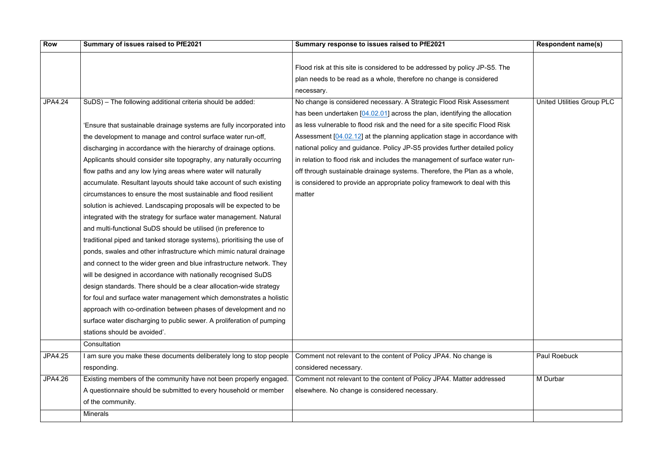| <b>Row</b>     | Summary of issues raised to PfE2021                                    | Summary response to issues raised to PfE2021                                                                                                                    | <b>Respondent name(s)</b>         |
|----------------|------------------------------------------------------------------------|-----------------------------------------------------------------------------------------------------------------------------------------------------------------|-----------------------------------|
|                |                                                                        | Flood risk at this site is considered to be addressed by policy JP-S5. The<br>plan needs to be read as a whole, therefore no change is considered<br>necessary. |                                   |
| <b>JPA4.24</b> | SuDS) - The following additional criteria should be added:             | No change is considered necessary. A Strategic Flood Risk Assessment                                                                                            | <b>United Utilities Group PLC</b> |
|                |                                                                        | has been undertaken $[04.02.01]$ across the plan, identifying the allocation                                                                                    |                                   |
|                | 'Ensure that sustainable drainage systems are fully incorporated into  | as less vulnerable to flood risk and the need for a site specific Flood Risk                                                                                    |                                   |
|                | the development to manage and control surface water run-off,           | Assessment [04.02.12] at the planning application stage in accordance with                                                                                      |                                   |
|                | discharging in accordance with the hierarchy of drainage options.      | national policy and guidance. Policy JP-S5 provides further detailed policy                                                                                     |                                   |
|                | Applicants should consider site topography, any naturally occurring    | in relation to flood risk and includes the management of surface water run-                                                                                     |                                   |
|                | flow paths and any low lying areas where water will naturally          | off through sustainable drainage systems. Therefore, the Plan as a whole,                                                                                       |                                   |
|                | accumulate. Resultant layouts should take account of such existing     | is considered to provide an appropriate policy framework to deal with this                                                                                      |                                   |
|                | circumstances to ensure the most sustainable and flood resilient       | matter                                                                                                                                                          |                                   |
|                | solution is achieved. Landscaping proposals will be expected to be     |                                                                                                                                                                 |                                   |
|                | integrated with the strategy for surface water management. Natural     |                                                                                                                                                                 |                                   |
|                | and multi-functional SuDS should be utilised (in preference to         |                                                                                                                                                                 |                                   |
|                | traditional piped and tanked storage systems), prioritising the use of |                                                                                                                                                                 |                                   |
|                | ponds, swales and other infrastructure which mimic natural drainage    |                                                                                                                                                                 |                                   |
|                | and connect to the wider green and blue infrastructure network. They   |                                                                                                                                                                 |                                   |
|                | will be designed in accordance with nationally recognised SuDS         |                                                                                                                                                                 |                                   |
|                | design standards. There should be a clear allocation-wide strategy     |                                                                                                                                                                 |                                   |
|                | for foul and surface water management which demonstrates a holistic    |                                                                                                                                                                 |                                   |
|                | approach with co-ordination between phases of development and no       |                                                                                                                                                                 |                                   |
|                | surface water discharging to public sewer. A proliferation of pumping  |                                                                                                                                                                 |                                   |
|                | stations should be avoided'.                                           |                                                                                                                                                                 |                                   |
|                | Consultation                                                           |                                                                                                                                                                 |                                   |
| <b>JPA4.25</b> | I am sure you make these documents deliberately long to stop people    | Comment not relevant to the content of Policy JPA4. No change is                                                                                                | <b>Paul Roebuck</b>               |
|                | responding.                                                            | considered necessary.                                                                                                                                           |                                   |
| <b>JPA4.26</b> | Existing members of the community have not been properly engaged.      | Comment not relevant to the content of Policy JPA4. Matter addressed                                                                                            | M Durbar                          |
|                | A questionnaire should be submitted to every household or member       | elsewhere. No change is considered necessary.                                                                                                                   |                                   |
|                | of the community.                                                      |                                                                                                                                                                 |                                   |
|                | <b>Minerals</b>                                                        |                                                                                                                                                                 |                                   |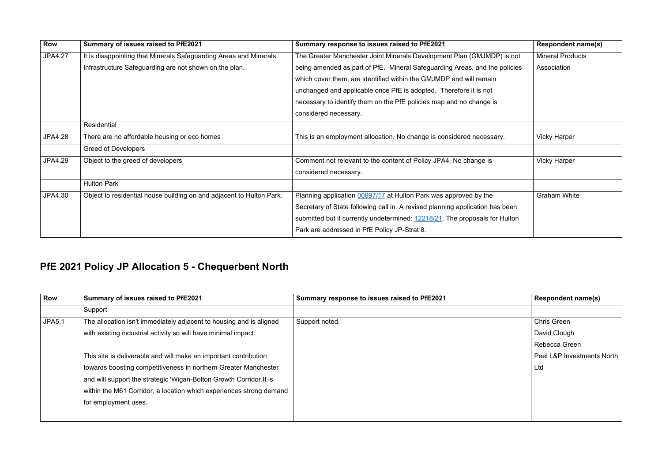| <b>Row</b>     | Summary of issues raised to PfE2021                                  | Summary response to issues raised to PfE2021                                  | <b>Respondent name(s)</b> |
|----------------|----------------------------------------------------------------------|-------------------------------------------------------------------------------|---------------------------|
| <b>JPA4.27</b> | It is disappointing that Minerals Safeguarding Areas and Minerals    | The Greater Manchester Joint Minerals Development Plan (GMJMDP) is not        | <b>Mineral Products</b>   |
|                | Infrastructure Safeguarding are not shown on the plan.               | being amended as part of PfE. Mineral Safeguarding Areas, and the policies    | Association               |
|                |                                                                      | which cover them, are identified within the GMJMDP and will remain            |                           |
|                |                                                                      | unchanged and applicable once PfE is adopted. Therefore it is not             |                           |
|                |                                                                      | necessary to identify them on the PfE policies map and no change is           |                           |
|                |                                                                      | considered necessary.                                                         |                           |
|                | Residential                                                          |                                                                               |                           |
| <b>JPA4.28</b> | There are no affordable housing or eco homes                         | This is an employment allocation. No change is considered necessary.          | <b>Vicky Harper</b>       |
|                | <b>Greed of Developers</b>                                           |                                                                               |                           |
| <b>JPA4.29</b> | Object to the greed of developers                                    | Comment not relevant to the content of Policy JPA4. No change is              | <b>Vicky Harper</b>       |
|                |                                                                      | considered necessary.                                                         |                           |
|                | <b>Hulton Park</b>                                                   |                                                                               |                           |
| JPA4.30        | Object to residential house building on and adjacent to Hulton Park. | Planning application 00997/17 at Hulton Park was approved by the              | <b>Graham White</b>       |
|                |                                                                      | Secretary of State following call in. A revised planning application has been |                           |
|                |                                                                      | submitted but it currently undetermined: 12218/21. The proposals for Hulton   |                           |
|                |                                                                      | Park are addressed in PfE Policy JP-Strat 8.                                  |                           |
|                |                                                                      |                                                                               |                           |

|          | <b>Respondent name(s)</b> |
|----------|---------------------------|
| ) is not | <b>Mineral Products</b>   |
| policies | Association               |
|          |                           |
|          |                           |
|          |                           |
|          |                           |
|          |                           |
| у.       | <b>Vicky Harper</b>       |
|          |                           |
|          | <b>Vicky Harper</b>       |
|          |                           |
|          |                           |
|          | <b>Graham White</b>       |
| been     |                           |
| Hulton   |                           |
|          |                           |

## **PfE 2021 Policy JP Allocation 5 - Chequerbent North**

| <b>Row</b>    | Summary of issues raised to PfE2021                                 | Summary response to issues raised to PfE2021 | <b>Respondent name(s)</b>  |
|---------------|---------------------------------------------------------------------|----------------------------------------------|----------------------------|
|               | Support                                                             |                                              |                            |
| <b>JPA5.1</b> | The allocation isn't immediately adjacent to housing and is aligned | Support noted.                               | <b>Chris Green</b>         |
|               | with existing industrial activity so will have minimal impact.      |                                              | David Clough               |
|               |                                                                     |                                              | Rebecca Green              |
|               | This site is deliverable and will make an important contribution    |                                              | Peel L&P Investments North |
|               | towards boosting competitiveness in northern Greater Manchester     |                                              | Ltd                        |
|               | and will support the strategic 'Wigan-Bolton Growth Corridor. It is |                                              |                            |
|               | within the M61 Corridor, a location which experiences strong demand |                                              |                            |
|               | for employment uses.                                                |                                              |                            |
|               |                                                                     |                                              |                            |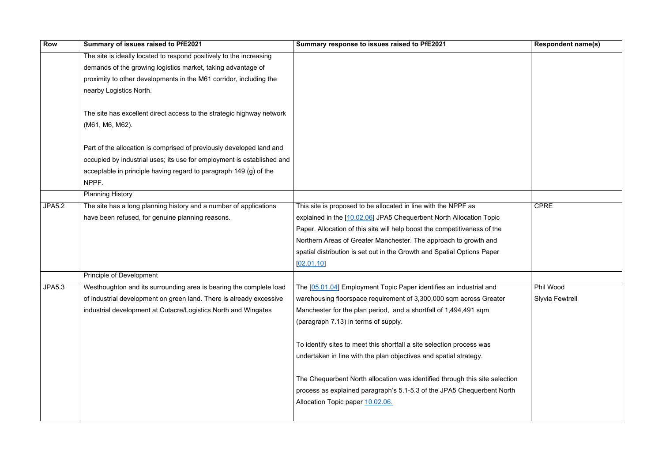| <b>Row</b>    | Summary of issues raised to PfE2021                                    | Summary response to issues raised to PfE2021                                | <b>Respon</b> |
|---------------|------------------------------------------------------------------------|-----------------------------------------------------------------------------|---------------|
|               | The site is ideally located to respond positively to the increasing    |                                                                             |               |
|               | demands of the growing logistics market, taking advantage of           |                                                                             |               |
|               | proximity to other developments in the M61 corridor, including the     |                                                                             |               |
|               | nearby Logistics North.                                                |                                                                             |               |
|               | The site has excellent direct access to the strategic highway network  |                                                                             |               |
|               | (M61, M6, M62).                                                        |                                                                             |               |
|               | Part of the allocation is comprised of previously developed land and   |                                                                             |               |
|               | occupied by industrial uses; its use for employment is established and |                                                                             |               |
|               | acceptable in principle having regard to paragraph 149 (g) of the      |                                                                             |               |
|               | NPPF.                                                                  |                                                                             |               |
|               | <b>Planning History</b>                                                |                                                                             |               |
| <b>JPA5.2</b> | The site has a long planning history and a number of applications      | This site is proposed to be allocated in line with the NPPF as              | <b>CPRE</b>   |
|               | have been refused, for genuine planning reasons.                       | explained in the [10.02.06] JPA5 Chequerbent North Allocation Topic         |               |
|               |                                                                        | Paper. Allocation of this site will help boost the competitiveness of the   |               |
|               |                                                                        | Northern Areas of Greater Manchester. The approach to growth and            |               |
|               |                                                                        | spatial distribution is set out in the Growth and Spatial Options Paper     |               |
|               |                                                                        | [02.01.10]                                                                  |               |
|               | Principle of Development                                               |                                                                             |               |
| <b>JPA5.3</b> | Westhoughton and its surrounding area is bearing the complete load     | The [05.01.04] Employment Topic Paper identifies an industrial and          | Phil Woo      |
|               | of industrial development on green land. There is already excessive    | warehousing floorspace requirement of 3,300,000 sqm across Greater          | Slyvia F      |
|               | industrial development at Cutacre/Logistics North and Wingates         | Manchester for the plan period, and a shortfall of 1,494,491 sqm            |               |
|               |                                                                        | (paragraph 7.13) in terms of supply.                                        |               |
|               |                                                                        | To identify sites to meet this shortfall a site selection process was       |               |
|               |                                                                        | undertaken in line with the plan objectives and spatial strategy.           |               |
|               |                                                                        | The Chequerbent North allocation was identified through this site selection |               |
|               |                                                                        | process as explained paragraph's 5.1-5.3 of the JPA5 Chequerbent North      |               |
|               |                                                                        | Allocation Topic paper 10.02.06.                                            |               |
|               |                                                                        |                                                                             |               |

|                       | <b>Respondent name(s)</b> |
|-----------------------|---------------------------|
|                       |                           |
|                       |                           |
|                       |                           |
|                       |                           |
|                       |                           |
|                       |                           |
|                       |                           |
|                       |                           |
|                       |                           |
|                       |                           |
|                       |                           |
| $\overline{P}$ as     | <b>CPRE</b>               |
| ocation Topic         |                           |
| iveness of the        |                           |
| growth and            |                           |
| ptions Paper          |                           |
|                       |                           |
| dustrial and          | Phil Wood                 |
| across Greater        | <b>Slyvia Fewtrell</b>    |
| ,491 sqm              |                           |
|                       |                           |
|                       |                           |
| ocess was             |                           |
| trategy.              |                           |
| h this site selection |                           |
| Chequerbent North     |                           |
|                       |                           |
|                       |                           |
|                       |                           |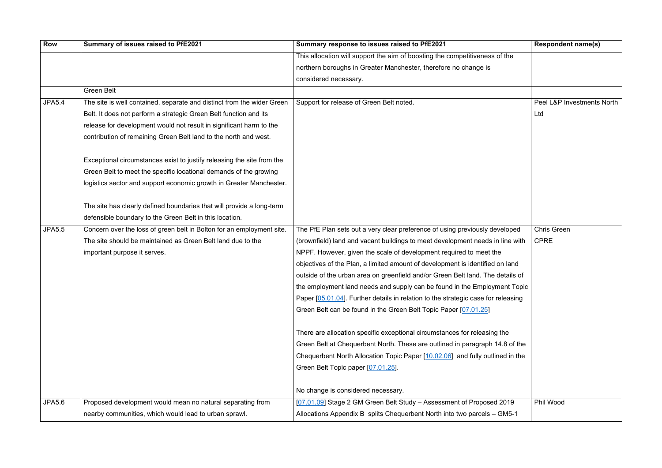| <b>Row</b>    | Summary of issues raised to PfE2021                                    | Summary response to issues raised to PfE2021                                      | <b>Respondent name(s)</b>  |
|---------------|------------------------------------------------------------------------|-----------------------------------------------------------------------------------|----------------------------|
|               |                                                                        | This allocation will support the aim of boosting the competitiveness of the       |                            |
|               |                                                                        | northern boroughs in Greater Manchester, therefore no change is                   |                            |
|               |                                                                        | considered necessary.                                                             |                            |
|               | <b>Green Belt</b>                                                      |                                                                                   |                            |
| <b>JPA5.4</b> | The site is well contained, separate and distinct from the wider Green | Support for release of Green Belt noted.                                          | Peel L&P Investments North |
|               | Belt. It does not perform a strategic Green Belt function and its      |                                                                                   | Ltd                        |
|               | release for development would not result in significant harm to the    |                                                                                   |                            |
|               | contribution of remaining Green Belt land to the north and west.       |                                                                                   |                            |
|               | Exceptional circumstances exist to justify releasing the site from the |                                                                                   |                            |
|               | Green Belt to meet the specific locational demands of the growing      |                                                                                   |                            |
|               | logistics sector and support economic growth in Greater Manchester.    |                                                                                   |                            |
|               | The site has clearly defined boundaries that will provide a long-term  |                                                                                   |                            |
|               | defensible boundary to the Green Belt in this location.                |                                                                                   |                            |
| <b>JPA5.5</b> | Concern over the loss of green belt in Bolton for an employment site.  | The PfE Plan sets out a very clear preference of using previously developed       | <b>Chris Green</b>         |
|               | The site should be maintained as Green Belt land due to the            | (brownfield) land and vacant buildings to meet development needs in line with     | <b>CPRE</b>                |
|               | important purpose it serves.                                           | NPPF. However, given the scale of development required to meet the                |                            |
|               |                                                                        | objectives of the Plan, a limited amount of development is identified on land     |                            |
|               |                                                                        | outside of the urban area on greenfield and/or Green Belt land. The details of    |                            |
|               |                                                                        | the employment land needs and supply can be found in the Employment Topic         |                            |
|               |                                                                        | Paper [05.01.04]. Further details in relation to the strategic case for releasing |                            |
|               |                                                                        | Green Belt can be found in the Green Belt Topic Paper [07.01.25]                  |                            |
|               |                                                                        | There are allocation specific exceptional circumstances for releasing the         |                            |
|               |                                                                        | Green Belt at Chequerbent North. These are outlined in paragraph 14.8 of the      |                            |
|               |                                                                        | Chequerbent North Allocation Topic Paper [10.02.06] and fully outlined in the     |                            |
|               |                                                                        | Green Belt Topic paper [07.01.25].                                                |                            |
|               |                                                                        | No change is considered necessary.                                                |                            |
| <b>JPA5.6</b> | Proposed development would mean no natural separating from             | [07.01.09] Stage 2 GM Green Belt Study - Assessment of Proposed 2019              | Phil Wood                  |
|               | nearby communities, which would lead to urban sprawl.                  | Allocations Appendix B splits Chequerbent North into two parcels - GM5-1          |                            |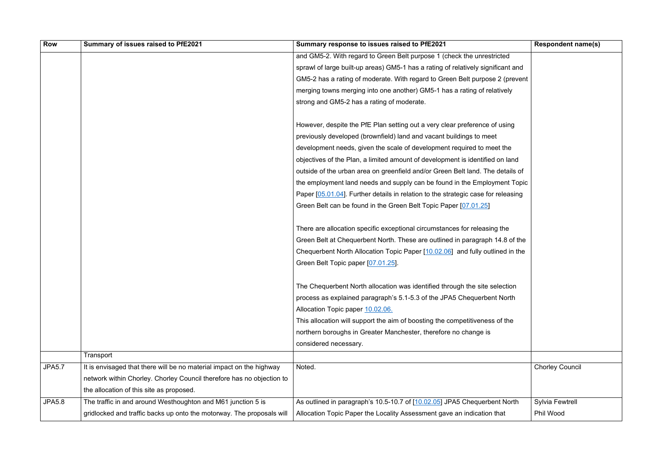| <b>Row</b>    | Summary of issues raised to PfE2021                                   | Summary response to issues raised to PfE2021                                      | <b>Respondent name(s)</b> |
|---------------|-----------------------------------------------------------------------|-----------------------------------------------------------------------------------|---------------------------|
|               |                                                                       | and GM5-2. With regard to Green Belt purpose 1 (check the unrestricted            |                           |
|               |                                                                       | sprawl of large built-up areas) GM5-1 has a rating of relatively significant and  |                           |
|               |                                                                       | GM5-2 has a rating of moderate. With regard to Green Belt purpose 2 (prevent      |                           |
|               |                                                                       | merging towns merging into one another) GM5-1 has a rating of relatively          |                           |
|               |                                                                       | strong and GM5-2 has a rating of moderate.                                        |                           |
|               |                                                                       | However, despite the PfE Plan setting out a very clear preference of using        |                           |
|               |                                                                       | previously developed (brownfield) land and vacant buildings to meet               |                           |
|               |                                                                       | development needs, given the scale of development required to meet the            |                           |
|               |                                                                       | objectives of the Plan, a limited amount of development is identified on land     |                           |
|               |                                                                       | outside of the urban area on greenfield and/or Green Belt land. The details of    |                           |
|               |                                                                       | the employment land needs and supply can be found in the Employment Topic         |                           |
|               |                                                                       | Paper [05.01.04]. Further details in relation to the strategic case for releasing |                           |
|               |                                                                       | Green Belt can be found in the Green Belt Topic Paper [07.01.25]                  |                           |
|               |                                                                       | There are allocation specific exceptional circumstances for releasing the         |                           |
|               |                                                                       | Green Belt at Chequerbent North. These are outlined in paragraph 14.8 of the      |                           |
|               |                                                                       | Chequerbent North Allocation Topic Paper [10.02.06] and fully outlined in the     |                           |
|               |                                                                       | Green Belt Topic paper [07.01.25].                                                |                           |
|               |                                                                       | The Chequerbent North allocation was identified through the site selection        |                           |
|               |                                                                       | process as explained paragraph's 5.1-5.3 of the JPA5 Chequerbent North            |                           |
|               |                                                                       | Allocation Topic paper 10.02.06.                                                  |                           |
|               |                                                                       | This allocation will support the aim of boosting the competitiveness of the       |                           |
|               |                                                                       | northern boroughs in Greater Manchester, therefore no change is                   |                           |
|               |                                                                       | considered necessary.                                                             |                           |
|               | Transport                                                             |                                                                                   |                           |
| <b>JPA5.7</b> | It is envisaged that there will be no material impact on the highway  | Noted.                                                                            | <b>Chorley Council</b>    |
|               | network within Chorley. Chorley Council therefore has no objection to |                                                                                   |                           |
|               | the allocation of this site as proposed.                              |                                                                                   |                           |
| <b>JPA5.8</b> | The traffic in and around Westhoughton and M61 junction 5 is          | As outlined in paragraph's 10.5-10.7 of [10.02.05] JPA5 Chequerbent North         | <b>Sylvia Fewtrell</b>    |
|               | gridlocked and traffic backs up onto the motorway. The proposals will | Allocation Topic Paper the Locality Assessment gave an indication that            | Phil Wood                 |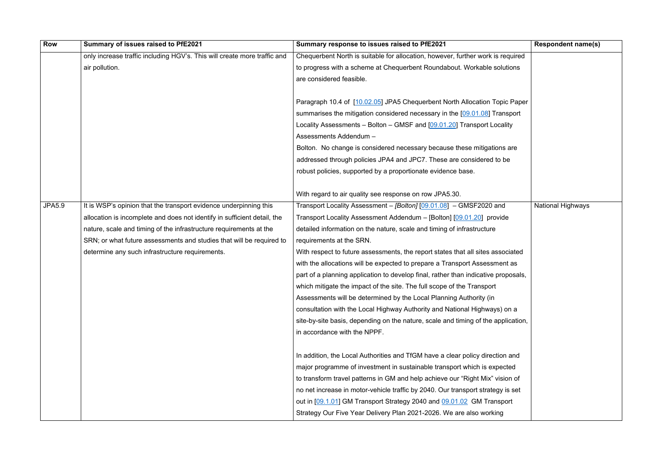| <b>Row</b>    | Summary of issues raised to PfE2021                                      | Summary response to issues raised to PfE2021                                       | <b>Respondent name(s)</b> |
|---------------|--------------------------------------------------------------------------|------------------------------------------------------------------------------------|---------------------------|
|               | only increase traffic including HGV's. This will create more traffic and | Chequerbent North is suitable for allocation, however, further work is required    |                           |
|               | air pollution.                                                           | to progress with a scheme at Chequerbent Roundabout. Workable solutions            |                           |
|               |                                                                          | are considered feasible.                                                           |                           |
|               |                                                                          |                                                                                    |                           |
|               |                                                                          | Paragraph 10.4 of [10.02.05] JPA5 Chequerbent North Allocation Topic Paper         |                           |
|               |                                                                          | summarises the mitigation considered necessary in the [09.01.08] Transport         |                           |
|               |                                                                          | Locality Assessments - Bolton - GMSF and [09.01.20] Transport Locality             |                           |
|               |                                                                          | Assessments Addendum -                                                             |                           |
|               |                                                                          | Bolton. No change is considered necessary because these mitigations are            |                           |
|               |                                                                          | addressed through policies JPA4 and JPC7. These are considered to be               |                           |
|               |                                                                          | robust policies, supported by a proportionate evidence base.                       |                           |
|               |                                                                          |                                                                                    |                           |
|               |                                                                          | With regard to air quality see response on row JPA5.30.                            |                           |
| <b>JPA5.9</b> | It is WSP's opinion that the transport evidence underpinning this        | Transport Locality Assessment – [Bolton] [09.01.08] – GMSF2020 and                 | <b>National Highways</b>  |
|               | allocation is incomplete and does not identify in sufficient detail, the | Transport Locality Assessment Addendum - [Bolton] [09.01.20] provide               |                           |
|               | nature, scale and timing of the infrastructure requirements at the       | detailed information on the nature, scale and timing of infrastructure             |                           |
|               | SRN; or what future assessments and studies that will be required to     | requirements at the SRN.                                                           |                           |
|               | determine any such infrastructure requirements.                          | With respect to future assessments, the report states that all sites associated    |                           |
|               |                                                                          | with the allocations will be expected to prepare a Transport Assessment as         |                           |
|               |                                                                          | part of a planning application to develop final, rather than indicative proposals, |                           |
|               |                                                                          | which mitigate the impact of the site. The full scope of the Transport             |                           |
|               |                                                                          | Assessments will be determined by the Local Planning Authority (in                 |                           |
|               |                                                                          | consultation with the Local Highway Authority and National Highways) on a          |                           |
|               |                                                                          | site-by-site basis, depending on the nature, scale and timing of the application,  |                           |
|               |                                                                          | in accordance with the NPPF.                                                       |                           |
|               |                                                                          |                                                                                    |                           |
|               |                                                                          | In addition, the Local Authorities and TfGM have a clear policy direction and      |                           |
|               |                                                                          | major programme of investment in sustainable transport which is expected           |                           |
|               |                                                                          | to transform travel patterns in GM and help achieve our "Right Mix" vision of      |                           |
|               |                                                                          | no net increase in motor-vehicle traffic by 2040. Our transport strategy is set    |                           |
|               |                                                                          | out in [09.1.01] GM Transport Strategy 2040 and 09.01.02 GM Transport              |                           |
|               |                                                                          | Strategy Our Five Year Delivery Plan 2021-2026. We are also working                |                           |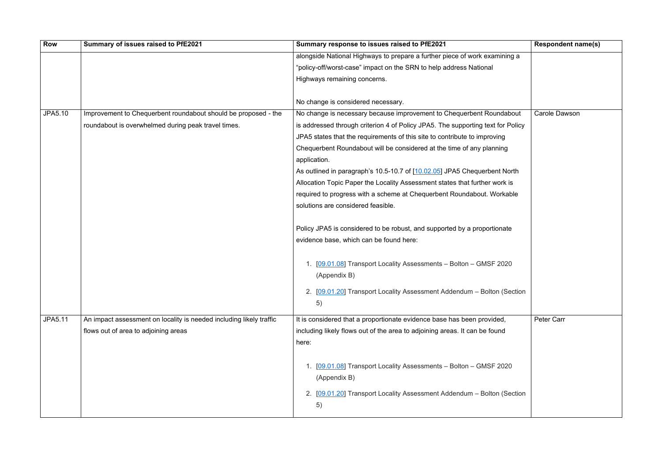| <b>Row</b>     | Summary of issues raised to PfE2021                                 | Summary response to issues raised to PfE2021                                    | <b>Respondent name(s)</b> |
|----------------|---------------------------------------------------------------------|---------------------------------------------------------------------------------|---------------------------|
|                |                                                                     | alongside National Highways to prepare a further piece of work examining a      |                           |
|                |                                                                     | "policy-off/worst-case" impact on the SRN to help address National              |                           |
|                |                                                                     | Highways remaining concerns.                                                    |                           |
|                |                                                                     |                                                                                 |                           |
|                |                                                                     | No change is considered necessary.                                              |                           |
| <b>JPA5.10</b> | Improvement to Chequerbent roundabout should be proposed - the      | No change is necessary because improvement to Chequerbent Roundabout            | <b>Carole Dawson</b>      |
|                | roundabout is overwhelmed during peak travel times.                 | is addressed through criterion 4 of Policy JPA5. The supporting text for Policy |                           |
|                |                                                                     | JPA5 states that the requirements of this site to contribute to improving       |                           |
|                |                                                                     | Chequerbent Roundabout will be considered at the time of any planning           |                           |
|                |                                                                     | application.                                                                    |                           |
|                |                                                                     | As outlined in paragraph's 10.5-10.7 of [10.02.05] JPA5 Chequerbent North       |                           |
|                |                                                                     | Allocation Topic Paper the Locality Assessment states that further work is      |                           |
|                |                                                                     | required to progress with a scheme at Chequerbent Roundabout. Workable          |                           |
|                |                                                                     | solutions are considered feasible.                                              |                           |
|                |                                                                     |                                                                                 |                           |
|                |                                                                     | Policy JPA5 is considered to be robust, and supported by a proportionate        |                           |
|                |                                                                     | evidence base, which can be found here:                                         |                           |
|                |                                                                     |                                                                                 |                           |
|                |                                                                     | 1. [09.01.08] Transport Locality Assessments - Bolton - GMSF 2020               |                           |
|                |                                                                     | (Appendix B)                                                                    |                           |
|                |                                                                     | 2. [09.01.20] Transport Locality Assessment Addendum - Bolton (Section          |                           |
|                |                                                                     | 5)                                                                              |                           |
|                |                                                                     |                                                                                 |                           |
| <b>JPA5.11</b> | An impact assessment on locality is needed including likely traffic | It is considered that a proportionate evidence base has been provided,          | Peter Carr                |
|                | flows out of area to adjoining areas                                | including likely flows out of the area to adjoining areas. It can be found      |                           |
|                |                                                                     | here:                                                                           |                           |
|                |                                                                     |                                                                                 |                           |
|                |                                                                     | 1. [09.01.08] Transport Locality Assessments - Bolton - GMSF 2020               |                           |
|                |                                                                     | (Appendix B)                                                                    |                           |
|                |                                                                     | 2. [09.01.20] Transport Locality Assessment Addendum - Bolton (Section          |                           |
|                |                                                                     | 5)                                                                              |                           |
|                |                                                                     |                                                                                 |                           |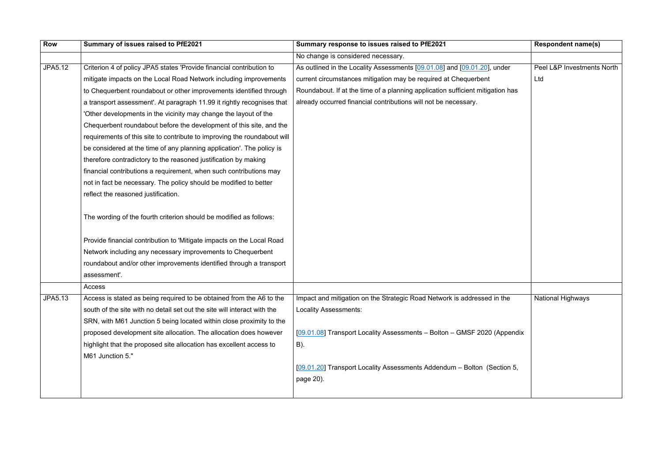| Row     | Summary of issues raised to PfE2021                                      | Summary response to issues raised to PfE2021                                   | <b>Respondent name(s)</b>  |
|---------|--------------------------------------------------------------------------|--------------------------------------------------------------------------------|----------------------------|
|         |                                                                          | No change is considered necessary.                                             |                            |
| JPA5.12 | Criterion 4 of policy JPA5 states 'Provide financial contribution to     | As outlined in the Locality Assessments [09.01.08] and [09.01.20], under       | Peel L&P Investments North |
|         | mitigate impacts on the Local Road Network including improvements        | current circumstances mitigation may be required at Chequerbent                | Ltd                        |
|         | to Chequerbent roundabout or other improvements identified through       | Roundabout. If at the time of a planning application sufficient mitigation has |                            |
|         | a transport assessment'. At paragraph 11.99 it rightly recognises that   | already occurred financial contributions will not be necessary.                |                            |
|         | 'Other developments in the vicinity may change the layout of the         |                                                                                |                            |
|         | Chequerbent roundabout before the development of this site, and the      |                                                                                |                            |
|         | requirements of this site to contribute to improving the roundabout will |                                                                                |                            |
|         | be considered at the time of any planning application'. The policy is    |                                                                                |                            |
|         | therefore contradictory to the reasoned justification by making          |                                                                                |                            |
|         | financial contributions a requirement, when such contributions may       |                                                                                |                            |
|         | not in fact be necessary. The policy should be modified to better        |                                                                                |                            |
|         | reflect the reasoned justification.                                      |                                                                                |                            |
|         | The wording of the fourth criterion should be modified as follows:       |                                                                                |                            |
|         | Provide financial contribution to 'Mitigate impacts on the Local Road    |                                                                                |                            |
|         | Network including any necessary improvements to Chequerbent              |                                                                                |                            |
|         | roundabout and/or other improvements identified through a transport      |                                                                                |                            |
|         | assessment'.                                                             |                                                                                |                            |
|         | Access                                                                   |                                                                                |                            |
| JPA5.13 | Access is stated as being required to be obtained from the A6 to the     | Impact and mitigation on the Strategic Road Network is addressed in the        | <b>National Highways</b>   |
|         | south of the site with no detail set out the site will interact with the | <b>Locality Assessments:</b>                                                   |                            |
|         | SRN, with M61 Junction 5 being located within close proximity to the     |                                                                                |                            |
|         | proposed development site allocation. The allocation does however        | [09.01.08] Transport Locality Assessments - Bolton - GMSF 2020 (Appendix       |                            |
|         | highlight that the proposed site allocation has excellent access to      | $B)$ .                                                                         |                            |
|         | M61 Junction 5."                                                         |                                                                                |                            |
|         |                                                                          | [09.01.20] Transport Locality Assessments Addendum - Bolton (Section 5,        |                            |
|         |                                                                          | page 20).                                                                      |                            |
|         |                                                                          |                                                                                |                            |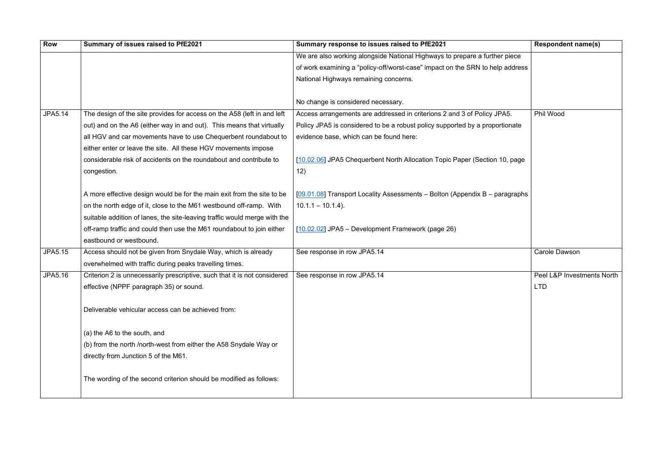| <b>Row</b>     | Summary of issues raised to PfE2021                                       | Summary response to issues raised to PfE2021                                  | <b>Responde</b>   |
|----------------|---------------------------------------------------------------------------|-------------------------------------------------------------------------------|-------------------|
|                |                                                                           | We are also working alongside National Highways to prepare a further piece    |                   |
|                |                                                                           | of work examining a "policy-off/worst-case" impact on the SRN to help address |                   |
|                |                                                                           | National Highways remaining concerns.                                         |                   |
|                |                                                                           | No change is considered necessary.                                            |                   |
| <b>JPA5.14</b> | The design of the site provides for access on the A58 (left in and left   | Access arrangements are addressed in criterions 2 and 3 of Policy JPA5.       | Phil Wood         |
|                | out) and on the A6 (either way in and out). This means that virtually     | Policy JPA5 is considered to be a robust policy supported by a proportionate  |                   |
|                | all HGV and car movements have to use Chequerbent roundabout to           | evidence base, which can be found here:                                       |                   |
|                | either enter or leave the site. All these HGV movements impose            |                                                                               |                   |
|                | considerable risk of accidents on the roundabout and contribute to        | [10.02.06] JPA5 Chequerbent North Allocation Topic Paper (Section 10, page    |                   |
|                | congestion.                                                               | 12)                                                                           |                   |
|                | A more effective design would be for the main exit from the site to be    | [09.01.08] Transport Locality Assessments - Bolton (Appendix B - paragraphs   |                   |
|                | on the north edge of it, close to the M61 westbound off-ramp. With        | $10.1.1 - 10.1.4$ ).                                                          |                   |
|                | suitable addition of lanes, the site-leaving traffic would merge with the |                                                                               |                   |
|                | off-ramp traffic and could then use the M61 roundabout to join either     | $[10.02.02]$ JPA5 – Development Framework (page 26)                           |                   |
|                | eastbound or westbound.                                                   |                                                                               |                   |
| <b>JPA5.15</b> | Access should not be given from Snydale Way, which is already             | See response in row JPA5.14                                                   | <b>Carole Dav</b> |
|                | overwhelmed with traffic during peaks travelling times.                   |                                                                               |                   |
| JPA5.16        | Criterion 2 is unnecessarily prescriptive, such that it is not considered | See response in row JPA5.14                                                   | Peel L&P In       |
|                | effective (NPPF paragraph 35) or sound.                                   |                                                                               | <b>LTD</b>        |
|                | Deliverable vehicular access can be achieved from:                        |                                                                               |                   |
|                | (a) the A6 to the south, and                                              |                                                                               |                   |
|                | (b) from the north /north-west from either the A58 Snydale Way or         |                                                                               |                   |
|                | directly from Junction 5 of the M61.                                      |                                                                               |                   |
|                | The wording of the second criterion should be modified as follows:        |                                                                               |                   |

|           | <b>Respondent name(s)</b>  |
|-----------|----------------------------|
| r piece   |                            |
| address   |                            |
|           |                            |
|           |                            |
|           |                            |
| A5.       | <b>Phil Wood</b>           |
| tionate   |                            |
|           |                            |
|           |                            |
| 10, page  |                            |
|           |                            |
|           |                            |
| iragraphs |                            |
|           |                            |
|           |                            |
|           |                            |
|           |                            |
|           |                            |
|           | <b>Carole Dawson</b>       |
|           |                            |
|           | Peel L&P Investments North |
|           | LTD.                       |
|           |                            |
|           |                            |
|           |                            |
|           |                            |
|           |                            |
|           |                            |
|           |                            |
|           |                            |
|           |                            |
|           |                            |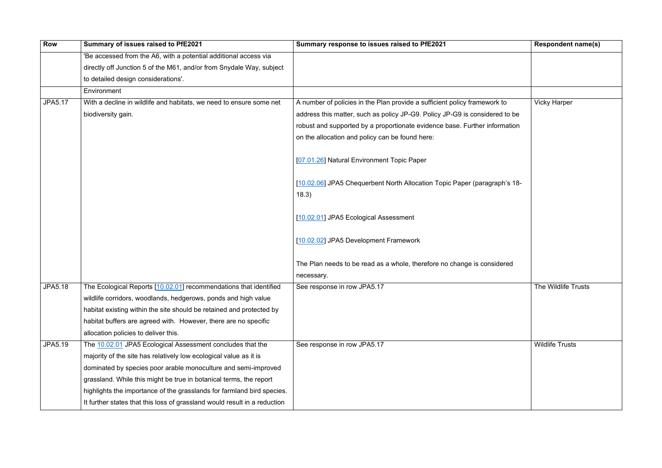| <b>Row</b>     | Summary of issues raised to PfE2021                                       | Summary response to issues raised to PfE2021                                       | <b>Respondent name(s)</b> |
|----------------|---------------------------------------------------------------------------|------------------------------------------------------------------------------------|---------------------------|
|                | 'Be accessed from the A6, with a potential additional access via          |                                                                                    |                           |
|                | directly off Junction 5 of the M61, and/or from Snydale Way, subject      |                                                                                    |                           |
|                | to detailed design considerations'.                                       |                                                                                    |                           |
|                | Environment                                                               |                                                                                    |                           |
| <b>JPA5.17</b> | With a decline in wildlife and habitats, we need to ensure some net       | A number of policies in the Plan provide a sufficient policy framework to          | <b>Vicky Harper</b>       |
|                | biodiversity gain.                                                        | address this matter, such as policy JP-G9. Policy JP-G9 is considered to be        |                           |
|                |                                                                           | robust and supported by a proportionate evidence base. Further information         |                           |
|                |                                                                           | on the allocation and policy can be found here:                                    |                           |
|                |                                                                           | [07.01.26] Natural Environment Topic Paper                                         |                           |
|                |                                                                           | [10.02.06] JPA5 Chequerbent North Allocation Topic Paper (paragraph's 18-<br>18.3) |                           |
|                |                                                                           | [10.02.01] JPA5 Ecological Assessment                                              |                           |
|                |                                                                           | [10.02.02] JPA5 Development Framework                                              |                           |
|                |                                                                           | The Plan needs to be read as a whole, therefore no change is considered            |                           |
|                |                                                                           | necessary.                                                                         |                           |
| JPA5.18        | The Ecological Reports [10.02.01] recommendations that identified         | See response in row JPA5.17                                                        | The Wildlife Trusts       |
|                | wildlife corridors, woodlands, hedgerows, ponds and high value            |                                                                                    |                           |
|                | habitat existing within the site should be retained and protected by      |                                                                                    |                           |
|                | habitat buffers are agreed with. However, there are no specific           |                                                                                    |                           |
|                | allocation policies to deliver this.                                      |                                                                                    |                           |
| JPA5.19        | The 10.02.01 JPA5 Ecological Assessment concludes that the                | See response in row JPA5.17                                                        | <b>Wildlife Trusts</b>    |
|                | majority of the site has relatively low ecological value as it is         |                                                                                    |                           |
|                | dominated by species poor arable monoculture and semi-improved            |                                                                                    |                           |
|                | grassland. While this might be true in botanical terms, the report        |                                                                                    |                           |
|                | highlights the importance of the grasslands for farmland bird species.    |                                                                                    |                           |
|                | It further states that this loss of grassland would result in a reduction |                                                                                    |                           |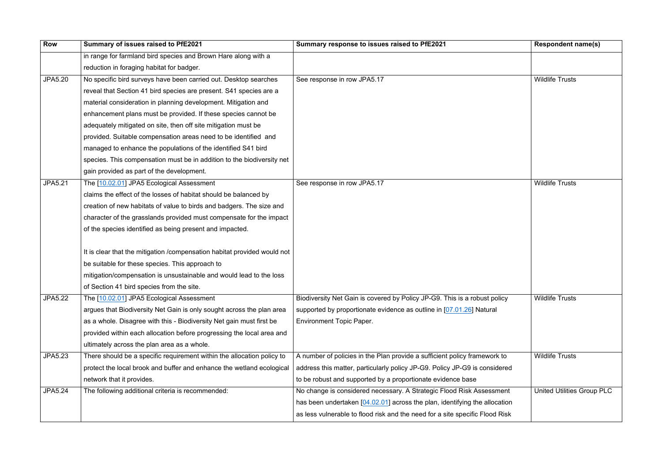| <b>Row</b>     | Summary of issues raised to PfE2021                                      | Summary response to issues raised to PfE2021                                 | <b>Respondent name(s)</b>         |
|----------------|--------------------------------------------------------------------------|------------------------------------------------------------------------------|-----------------------------------|
|                | in range for farmland bird species and Brown Hare along with a           |                                                                              |                                   |
|                | reduction in foraging habitat for badger.                                |                                                                              |                                   |
| <b>JPA5.20</b> | No specific bird surveys have been carried out. Desktop searches         | See response in row JPA5.17                                                  | <b>Wildlife Trusts</b>            |
|                | reveal that Section 41 bird species are present. S41 species are a       |                                                                              |                                   |
|                | material consideration in planning development. Mitigation and           |                                                                              |                                   |
|                | enhancement plans must be provided. If these species cannot be           |                                                                              |                                   |
|                | adequately mitigated on site, then off site mitigation must be           |                                                                              |                                   |
|                | provided. Suitable compensation areas need to be identified and          |                                                                              |                                   |
|                | managed to enhance the populations of the identified S41 bird            |                                                                              |                                   |
|                | species. This compensation must be in addition to the biodiversity net   |                                                                              |                                   |
|                | gain provided as part of the development.                                |                                                                              |                                   |
| <b>JPA5.21</b> | The [10.02.01] JPA5 Ecological Assessment                                | See response in row JPA5.17                                                  | <b>Wildlife Trusts</b>            |
|                | claims the effect of the losses of habitat should be balanced by         |                                                                              |                                   |
|                | creation of new habitats of value to birds and badgers. The size and     |                                                                              |                                   |
|                | character of the grasslands provided must compensate for the impact      |                                                                              |                                   |
|                | of the species identified as being present and impacted.                 |                                                                              |                                   |
|                |                                                                          |                                                                              |                                   |
|                | It is clear that the mitigation /compensation habitat provided would not |                                                                              |                                   |
|                | be suitable for these species. This approach to                          |                                                                              |                                   |
|                | mitigation/compensation is unsustainable and would lead to the loss      |                                                                              |                                   |
|                | of Section 41 bird species from the site.                                |                                                                              |                                   |
| <b>JPA5.22</b> | The [10.02.01] JPA5 Ecological Assessment                                | Biodiversity Net Gain is covered by Policy JP-G9. This is a robust policy    | <b>Wildlife Trusts</b>            |
|                | argues that Biodiversity Net Gain is only sought across the plan area    | supported by proportionate evidence as outline in [07.01.26] Natural         |                                   |
|                | as a whole. Disagree with this - Biodiversity Net gain must first be     | <b>Environment Topic Paper.</b>                                              |                                   |
|                | provided within each allocation before progressing the local area and    |                                                                              |                                   |
|                | ultimately across the plan area as a whole.                              |                                                                              |                                   |
| JPA5.23        | There should be a specific requirement within the allocation policy to   | A number of policies in the Plan provide a sufficient policy framework to    | <b>Wildlife Trusts</b>            |
|                | protect the local brook and buffer and enhance the wetland ecological    | address this matter, particularly policy JP-G9. Policy JP-G9 is considered   |                                   |
|                | network that it provides.                                                | to be robust and supported by a proportionate evidence base                  |                                   |
| <b>JPA5.24</b> | The following additional criteria is recommended:                        | No change is considered necessary. A Strategic Flood Risk Assessment         | <b>United Utilities Group PLC</b> |
|                |                                                                          | has been undertaken [04.02.01] across the plan, identifying the allocation   |                                   |
|                |                                                                          | as less vulnerable to flood risk and the need for a site specific Flood Risk |                                   |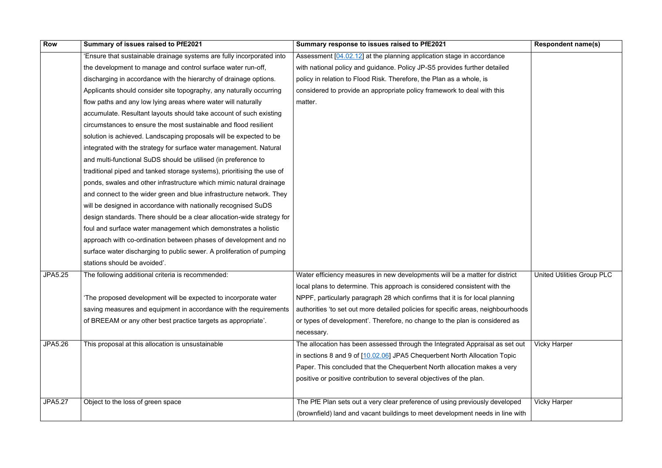| <b>Row</b>     | Summary of issues raised to PfE2021                                    | Summary response to issues raised to PfE2021                                      | <b>Respondent name(s)</b>         |
|----------------|------------------------------------------------------------------------|-----------------------------------------------------------------------------------|-----------------------------------|
|                | 'Ensure that sustainable drainage systems are fully incorporated into  | Assessment [04.02.12] at the planning application stage in accordance             |                                   |
|                | the development to manage and control surface water run-off,           | with national policy and guidance. Policy JP-S5 provides further detailed         |                                   |
|                | discharging in accordance with the hierarchy of drainage options.      | policy in relation to Flood Risk. Therefore, the Plan as a whole, is              |                                   |
|                | Applicants should consider site topography, any naturally occurring    | considered to provide an appropriate policy framework to deal with this           |                                   |
|                | flow paths and any low lying areas where water will naturally          | matter.                                                                           |                                   |
|                | accumulate. Resultant layouts should take account of such existing     |                                                                                   |                                   |
|                | circumstances to ensure the most sustainable and flood resilient       |                                                                                   |                                   |
|                | solution is achieved. Landscaping proposals will be expected to be     |                                                                                   |                                   |
|                | integrated with the strategy for surface water management. Natural     |                                                                                   |                                   |
|                | and multi-functional SuDS should be utilised (in preference to         |                                                                                   |                                   |
|                | traditional piped and tanked storage systems), prioritising the use of |                                                                                   |                                   |
|                | ponds, swales and other infrastructure which mimic natural drainage    |                                                                                   |                                   |
|                | and connect to the wider green and blue infrastructure network. They   |                                                                                   |                                   |
|                | will be designed in accordance with nationally recognised SuDS         |                                                                                   |                                   |
|                | design standards. There should be a clear allocation-wide strategy for |                                                                                   |                                   |
|                | foul and surface water management which demonstrates a holistic        |                                                                                   |                                   |
|                | approach with co-ordination between phases of development and no       |                                                                                   |                                   |
|                | surface water discharging to public sewer. A proliferation of pumping  |                                                                                   |                                   |
|                | stations should be avoided'.                                           |                                                                                   |                                   |
| <b>JPA5.25</b> | The following additional criteria is recommended:                      | Water efficiency measures in new developments will be a matter for district       | <b>United Utilities Group PLC</b> |
|                |                                                                        | local plans to determine. This approach is considered consistent with the         |                                   |
|                | 'The proposed development will be expected to incorporate water        | NPPF, particularly paragraph 28 which confirms that it is for local planning      |                                   |
|                | saving measures and equipment in accordance with the requirements      | authorities 'to set out more detailed policies for specific areas, neighbourhoods |                                   |
|                | of BREEAM or any other best practice targets as appropriate'.          | or types of development'. Therefore, no change to the plan is considered as       |                                   |
|                |                                                                        | necessary.                                                                        |                                   |
| <b>JPA5.26</b> | This proposal at this allocation is unsustainable                      | The allocation has been assessed through the Integrated Appraisal as set out      | <b>Vicky Harper</b>               |
|                |                                                                        | in sections 8 and 9 of [10.02.06] JPA5 Chequerbent North Allocation Topic         |                                   |
|                |                                                                        | Paper. This concluded that the Chequerbent North allocation makes a very          |                                   |
|                |                                                                        | positive or positive contribution to several objectives of the plan.              |                                   |
|                |                                                                        |                                                                                   |                                   |
| <b>JPA5.27</b> | Object to the loss of green space                                      | The PfE Plan sets out a very clear preference of using previously developed       | <b>Vicky Harper</b>               |
|                |                                                                        | (brownfield) land and vacant buildings to meet development needs in line with     |                                   |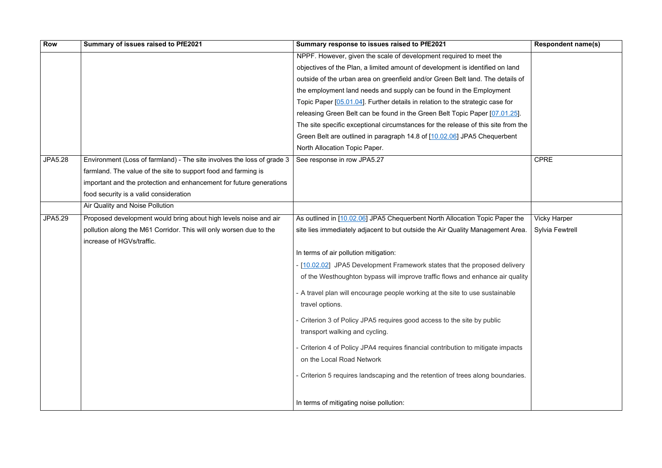| <b>Row</b>     | Summary of issues raised to PfE2021                                    | Summary response to issues raised to PfE2021                                      | <b>Respondent name(s)</b> |
|----------------|------------------------------------------------------------------------|-----------------------------------------------------------------------------------|---------------------------|
|                |                                                                        | NPPF. However, given the scale of development required to meet the                |                           |
|                |                                                                        | objectives of the Plan, a limited amount of development is identified on land     |                           |
|                |                                                                        | outside of the urban area on greenfield and/or Green Belt land. The details of    |                           |
|                |                                                                        | the employment land needs and supply can be found in the Employment               |                           |
|                |                                                                        | Topic Paper [05.01.04]. Further details in relation to the strategic case for     |                           |
|                |                                                                        | releasing Green Belt can be found in the Green Belt Topic Paper [07.01.25].       |                           |
|                |                                                                        | The site specific exceptional circumstances for the release of this site from the |                           |
|                |                                                                        | Green Belt are outlined in paragraph 14.8 of [10.02.06] JPA5 Chequerbent          |                           |
|                |                                                                        | North Allocation Topic Paper.                                                     |                           |
| <b>JPA5.28</b> | Environment (Loss of farmland) - The site involves the loss of grade 3 | See response in row JPA5.27                                                       | <b>CPRE</b>               |
|                | farmland. The value of the site to support food and farming is         |                                                                                   |                           |
|                | important and the protection and enhancement for future generations    |                                                                                   |                           |
|                | food security is a valid consideration                                 |                                                                                   |                           |
|                | Air Quality and Noise Pollution                                        |                                                                                   |                           |
| <b>JPA5.29</b> | Proposed development would bring about high levels noise and air       | As outlined in [10.02.06] JPA5 Chequerbent North Allocation Topic Paper the       | <b>Vicky Harper</b>       |
|                | pollution along the M61 Corridor. This will only worsen due to the     | site lies immediately adjacent to but outside the Air Quality Management Area.    | <b>Sylvia Fewtrell</b>    |
|                | increase of HGVs/traffic.                                              |                                                                                   |                           |
|                |                                                                        | In terms of air pollution mitigation:                                             |                           |
|                |                                                                        | - [10.02.02] JPA5 Development Framework states that the proposed delivery         |                           |
|                |                                                                        | of the Westhoughton bypass will improve traffic flows and enhance air quality     |                           |
|                |                                                                        | - A travel plan will encourage people working at the site to use sustainable      |                           |
|                |                                                                        | travel options.                                                                   |                           |
|                |                                                                        | - Criterion 3 of Policy JPA5 requires good access to the site by public           |                           |
|                |                                                                        | transport walking and cycling.                                                    |                           |
|                |                                                                        | - Criterion 4 of Policy JPA4 requires financial contribution to mitigate impacts  |                           |
|                |                                                                        | on the Local Road Network                                                         |                           |
|                |                                                                        | - Criterion 5 requires landscaping and the retention of trees along boundaries.   |                           |
|                |                                                                        | In terms of mitigating noise pollution:                                           |                           |

|                                                                               | <b>Respondent name(s)</b>              |
|-------------------------------------------------------------------------------|----------------------------------------|
| è<br>n land<br>letails of<br>ent<br>e for<br>$01.25$ ].<br>from the<br>erbent |                                        |
|                                                                               | <b>CPRE</b>                            |
| aper the<br>ent Area.                                                         | <b>Vicky Harper</b><br>Sylvia Fewtrell |
| delivery<br>air quality<br>าable                                              |                                        |
|                                                                               |                                        |
| mpacts                                                                        |                                        |
| undaries.                                                                     |                                        |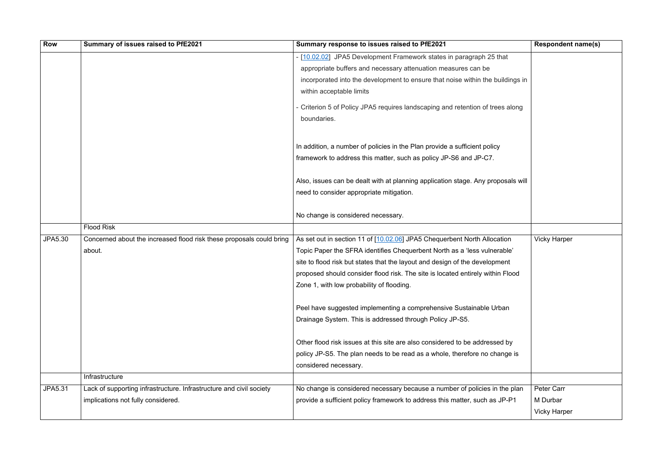| <b>Row</b> | Summary of issues raised to PfE2021                                  | Summary response to issues raised to PfE2021                                                                                                   | <b>Respondent name(s)</b> |
|------------|----------------------------------------------------------------------|------------------------------------------------------------------------------------------------------------------------------------------------|---------------------------|
|            |                                                                      | - [10.02.02] JPA5 Development Framework states in paragraph 25 that                                                                            |                           |
|            |                                                                      | appropriate buffers and necessary attenuation measures can be                                                                                  |                           |
|            |                                                                      | incorporated into the development to ensure that noise within the buildings in                                                                 |                           |
|            |                                                                      | within acceptable limits                                                                                                                       |                           |
|            |                                                                      | - Criterion 5 of Policy JPA5 requires landscaping and retention of trees along<br>boundaries.                                                  |                           |
|            |                                                                      | In addition, a number of policies in the Plan provide a sufficient policy<br>framework to address this matter, such as policy JP-S6 and JP-C7. |                           |
|            |                                                                      |                                                                                                                                                |                           |
|            |                                                                      | Also, issues can be dealt with at planning application stage. Any proposals will                                                               |                           |
|            |                                                                      | need to consider appropriate mitigation.                                                                                                       |                           |
|            |                                                                      | No change is considered necessary.                                                                                                             |                           |
|            | <b>Flood Risk</b>                                                    |                                                                                                                                                |                           |
| JPA5.30    | Concerned about the increased flood risk these proposals could bring | As set out in section 11 of [10.02.06] JPA5 Chequerbent North Allocation                                                                       | <b>Vicky Harper</b>       |
|            | about.                                                               | Topic Paper the SFRA identifies Chequerbent North as a 'less vulnerable'                                                                       |                           |
|            |                                                                      | site to flood risk but states that the layout and design of the development                                                                    |                           |
|            |                                                                      | proposed should consider flood risk. The site is located entirely within Flood                                                                 |                           |
|            |                                                                      | Zone 1, with low probability of flooding.                                                                                                      |                           |
|            |                                                                      | Peel have suggested implementing a comprehensive Sustainable Urban                                                                             |                           |
|            |                                                                      | Drainage System. This is addressed through Policy JP-S5.                                                                                       |                           |
|            |                                                                      | Other flood risk issues at this site are also considered to be addressed by                                                                    |                           |
|            |                                                                      | policy JP-S5. The plan needs to be read as a whole, therefore no change is                                                                     |                           |
|            |                                                                      | considered necessary.                                                                                                                          |                           |
|            | Infrastructure                                                       |                                                                                                                                                |                           |
| JPA5.31    | Lack of supporting infrastructure. Infrastructure and civil society  | No change is considered necessary because a number of policies in the plan                                                                     | Peter Carr                |
|            | implications not fully considered.                                   | provide a sufficient policy framework to address this matter, such as JP-P1                                                                    | M Durbar                  |
|            |                                                                      |                                                                                                                                                | <b>Vicky Harper</b>       |

|              | <b>Respondent name(s)</b> |
|--------------|---------------------------|
| າat          |                           |
| ildings in   |                           |
| s along      |                           |
| osals will   |                           |
|              |                           |
| tion         | <b>Vicky Harper</b>       |
| able'<br>ent |                           |
| Flood        |                           |
|              |                           |
| ∍an          |                           |
|              |                           |
| d by         |                           |
| nge is       |                           |
|              |                           |
|              |                           |
| the plan     | Peter Carr                |
| $IP-P1$      | M Durbar                  |
|              | <b>Vicky Harper</b>       |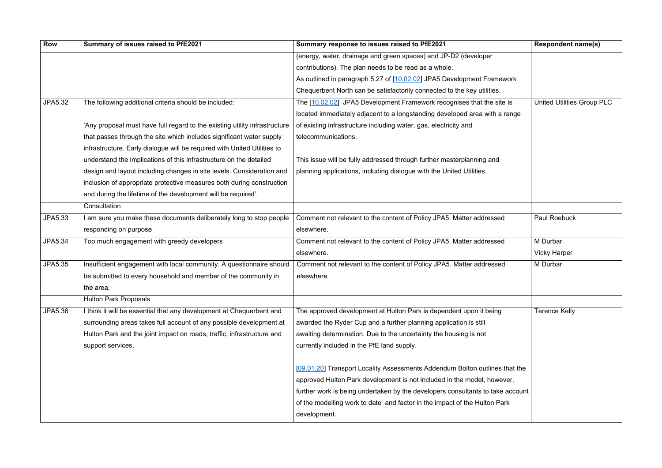| <b>Row</b>     | Summary of issues raised to PfE2021                                        | Summary response to issues raised to PfE2021                                   | <b>Respondent name(s)</b>         |
|----------------|----------------------------------------------------------------------------|--------------------------------------------------------------------------------|-----------------------------------|
|                |                                                                            | (energy, water, drainage and green spaces) and JP-D2 (developer                |                                   |
|                |                                                                            | contributions). The plan needs to be read as a whole.                          |                                   |
|                |                                                                            | As outlined in paragraph 5.27 of [10.02.02] JPA5 Development Framework         |                                   |
|                |                                                                            | Chequerbent North can be satisfactorily connected to the key utilities.        |                                   |
| <b>JPA5.32</b> | The following additional criteria should be included:                      | The [10.02.02] JPA5 Development Framework recognises that the site is          | <b>United Utilities Group PLC</b> |
|                |                                                                            | located immediately adjacent to a longstanding developed area with a range     |                                   |
|                | 'Any proposal must have full regard to the existing utility infrastructure | of existing infrastructure including water, gas, electricity and               |                                   |
|                | that passes through the site which includes significant water supply       | telecommunications.                                                            |                                   |
|                | infrastructure. Early dialogue will be required with United Utilities to   |                                                                                |                                   |
|                | understand the implications of this infrastructure on the detailed         | This issue will be fully addressed through further masterplanning and          |                                   |
|                | design and layout including changes in site levels. Consideration and      | planning applications, including dialogue with the United Utilities.           |                                   |
|                | inclusion of appropriate protective measures both during construction      |                                                                                |                                   |
|                | and during the lifetime of the development will be required'.              |                                                                                |                                   |
|                | Consultation                                                               |                                                                                |                                   |
| JPA5.33        | I am sure you make these documents deliberately long to stop people        | Comment not relevant to the content of Policy JPA5. Matter addressed           | <b>Paul Roebuck</b>               |
|                | responding on purpose                                                      | elsewhere.                                                                     |                                   |
| JPA5.34        | Too much engagement with greedy developers                                 | Comment not relevant to the content of Policy JPA5. Matter addressed           | M Durbar                          |
|                |                                                                            | elsewhere.                                                                     | <b>Vicky Harper</b>               |
| <b>JPA5.35</b> | Insufficient engagement with local community. A questionnaire should       | Comment not relevant to the content of Policy JPA5. Matter addressed           | M Durbar                          |
|                | be submitted to every household and member of the community in             | elsewhere.                                                                     |                                   |
|                | the area.                                                                  |                                                                                |                                   |
|                | <b>Hulton Park Proposals</b>                                               |                                                                                |                                   |
| JPA5.36        | I think it will be essential that any development at Chequerbent and       | The approved development at Hulton Park is dependent upon it being             | <b>Terence Kelly</b>              |
|                | surrounding areas takes full account of any possible development at        | awarded the Ryder Cup and a further planning application is still              |                                   |
|                | Hulton Park and the joint impact on roads, traffic, infrastructure and     | awaiting determination. Due to the uncertainty the housing is not              |                                   |
|                | support services.                                                          | currently included in the PfE land supply.                                     |                                   |
|                |                                                                            |                                                                                |                                   |
|                |                                                                            | [09.01.20] Transport Locality Assessments Addendum Bolton outlines that the    |                                   |
|                |                                                                            | approved Hulton Park development is not included in the model, however,        |                                   |
|                |                                                                            | further work is being undertaken by the developers consultants to take account |                                   |
|                |                                                                            | of the modelling work to date and factor in the impact of the Hulton Park      |                                   |
|                |                                                                            | development.                                                                   |                                   |

|                         | <b>Respondent name(s)</b>         |
|-------------------------|-----------------------------------|
| developer               |                                   |
|                         |                                   |
| pment Framework         |                                   |
| e key utilities.        |                                   |
| es that the site is     | <b>United Utilities Group PLC</b> |
| ed area with a range    |                                   |
| and                     |                                   |
|                         |                                   |
|                         |                                   |
| olanning and            |                                   |
| Utilities.              |                                   |
|                         |                                   |
|                         |                                   |
|                         |                                   |
| tter addressed          | <b>Paul Roebuck</b>               |
|                         |                                   |
| tter addressed          | M Durbar                          |
|                         | <b>Vicky Harper</b>               |
| tter addressed          | M Durbar                          |
|                         |                                   |
|                         |                                   |
|                         |                                   |
| upon it being           | <b>Terence Kelly</b>              |
| n is still              |                                   |
| าg is not               |                                   |
|                         |                                   |
| olton outlines that the |                                   |
| model, however,         |                                   |
| ultants to take account |                                   |
| the Hulton Park         |                                   |
|                         |                                   |
|                         |                                   |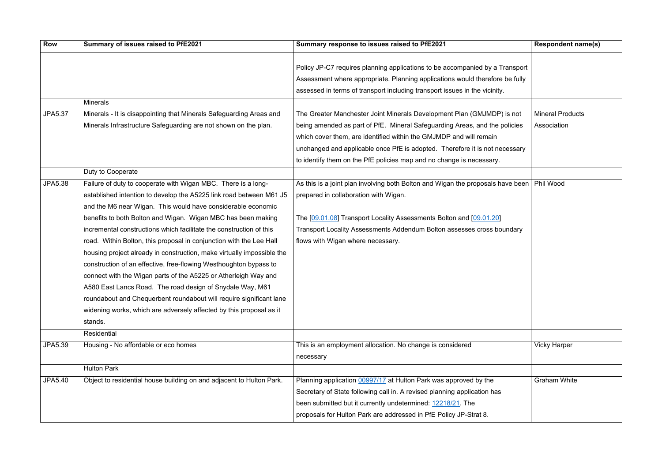| <b>Row</b>     | Summary of issues raised to PfE2021                                    | Summary response to issues raised to PfE2021                                                | <b>Respondent name(s)</b> |
|----------------|------------------------------------------------------------------------|---------------------------------------------------------------------------------------------|---------------------------|
|                |                                                                        |                                                                                             |                           |
|                |                                                                        | Policy JP-C7 requires planning applications to be accompanied by a Transport                |                           |
|                |                                                                        | Assessment where appropriate. Planning applications would therefore be fully                |                           |
|                |                                                                        | assessed in terms of transport including transport issues in the vicinity.                  |                           |
|                | <b>Minerals</b>                                                        |                                                                                             |                           |
| JPA5.37        | Minerals - It is disappointing that Minerals Safeguarding Areas and    | The Greater Manchester Joint Minerals Development Plan (GMJMDP) is not                      | <b>Mineral Products</b>   |
|                | Minerals Infrastructure Safeguarding are not shown on the plan.        | being amended as part of PfE. Mineral Safeguarding Areas, and the policies                  | Association               |
|                |                                                                        | which cover them, are identified within the GMJMDP and will remain                          |                           |
|                |                                                                        | unchanged and applicable once PfE is adopted. Therefore it is not necessary                 |                           |
|                |                                                                        | to identify them on the PfE policies map and no change is necessary.                        |                           |
|                | Duty to Cooperate                                                      |                                                                                             |                           |
| <b>JPA5.38</b> | Failure of duty to cooperate with Wigan MBC. There is a long-          | As this is a joint plan involving both Bolton and Wigan the proposals have been   Phil Wood |                           |
|                | established intention to develop the A5225 link road between M61 J5    | prepared in collaboration with Wigan.                                                       |                           |
|                | and the M6 near Wigan. This would have considerable economic           |                                                                                             |                           |
|                | benefits to both Bolton and Wigan. Wigan MBC has been making           | The [09.01.08] Transport Locality Assessments Bolton and [09.01.20]                         |                           |
|                | incremental constructions which facilitate the construction of this    | Transport Locality Assessments Addendum Bolton assesses cross boundary                      |                           |
|                | road. Within Bolton, this proposal in conjunction with the Lee Hall    | flows with Wigan where necessary.                                                           |                           |
|                | housing project already in construction, make virtually impossible the |                                                                                             |                           |
|                | construction of an effective, free-flowing Westhoughton bypass to      |                                                                                             |                           |
|                | connect with the Wigan parts of the A5225 or Atherleigh Way and        |                                                                                             |                           |
|                | A580 East Lancs Road. The road design of Snydale Way, M61              |                                                                                             |                           |
|                | roundabout and Chequerbent roundabout will require significant lane    |                                                                                             |                           |
|                | widening works, which are adversely affected by this proposal as it    |                                                                                             |                           |
|                | stands.                                                                |                                                                                             |                           |
|                | Residential                                                            |                                                                                             |                           |
| JPA5.39        | Housing - No affordable or eco homes                                   | This is an employment allocation. No change is considered                                   | <b>Vicky Harper</b>       |
|                |                                                                        | necessary                                                                                   |                           |
|                | <b>Hulton Park</b>                                                     |                                                                                             |                           |
| <b>JPA5.40</b> | Object to residential house building on and adjacent to Hulton Park.   | Planning application 00997/17 at Hulton Park was approved by the                            | <b>Graham White</b>       |
|                |                                                                        | Secretary of State following call in. A revised planning application has                    |                           |
|                |                                                                        | been submitted but it currently undetermined: 12218/21. The                                 |                           |
|                |                                                                        | proposals for Hulton Park are addressed in PfE Policy JP-Strat 8.                           |                           |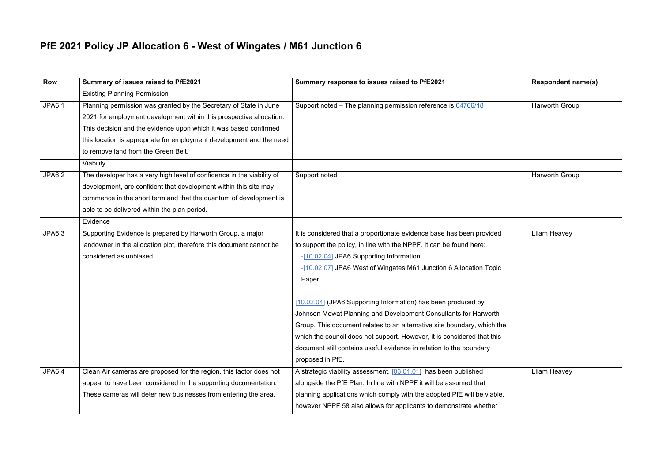### **PfE 2021 Policy JP Allocation 6 - West of Wingates / M61 Junction 6**

| <b>Row</b>    | Summary of issues raised to PfE2021                                                                                                                                                                                                                                                                                                      | Summary response to issues raised to PfE2021                                                                                                                                                                                                                                                                                                                                                                                                                                                                                                                                                                                                               | <b>Respondent name(s)</b> |
|---------------|------------------------------------------------------------------------------------------------------------------------------------------------------------------------------------------------------------------------------------------------------------------------------------------------------------------------------------------|------------------------------------------------------------------------------------------------------------------------------------------------------------------------------------------------------------------------------------------------------------------------------------------------------------------------------------------------------------------------------------------------------------------------------------------------------------------------------------------------------------------------------------------------------------------------------------------------------------------------------------------------------------|---------------------------|
|               | <b>Existing Planning Permission</b>                                                                                                                                                                                                                                                                                                      |                                                                                                                                                                                                                                                                                                                                                                                                                                                                                                                                                                                                                                                            |                           |
| <b>JPA6.1</b> | Planning permission was granted by the Secretary of State in June<br>2021 for employment development within this prospective allocation.<br>This decision and the evidence upon which it was based confirmed<br>this location is appropriate for employment development and the need<br>to remove land from the Green Belt.<br>Viability | Support noted - The planning permission reference is 04766/18                                                                                                                                                                                                                                                                                                                                                                                                                                                                                                                                                                                              | Harworth Group            |
| <b>JPA6.2</b> | The developer has a very high level of confidence in the viability of<br>development, are confident that development within this site may<br>commence in the short term and that the quantum of development is<br>able to be delivered within the plan period.<br>Evidence                                                               | Support noted                                                                                                                                                                                                                                                                                                                                                                                                                                                                                                                                                                                                                                              | Harworth Group            |
| JPA6.3        | Supporting Evidence is prepared by Harworth Group, a major<br>landowner in the allocation plot, therefore this document cannot be<br>considered as unbiased.                                                                                                                                                                             | It is considered that a proportionate evidence base has been provided<br>to support the policy, in line with the NPPF. It can be found here:<br>-[10.02.04] JPA6 Supporting Information<br>-[10.02.07] JPA6 West of Wingates M61 Junction 6 Allocation Topic<br>Paper<br>[10.02.04] (JPA6 Supporting Information) has been produced by<br>Johnson Mowat Planning and Development Consultants for Harworth<br>Group. This document relates to an alternative site boundary, which the<br>which the council does not support. However, it is considered that this<br>document still contains useful evidence in relation to the boundary<br>proposed in PfE. | <b>Lliam Heavey</b>       |
| <b>JPA6.4</b> | Clean Air cameras are proposed for the region, this factor does not<br>appear to have been considered in the supporting documentation.<br>These cameras will deter new businesses from entering the area.                                                                                                                                | A strategic viability assessment, [03.01.01] has been published<br>alongside the PfE Plan. In line with NPPF it will be assumed that<br>planning applications which comply with the adopted PfE will be viable,<br>however NPPF 58 also allows for applicants to demonstrate whether                                                                                                                                                                                                                                                                                                                                                                       | Lliam Heavey              |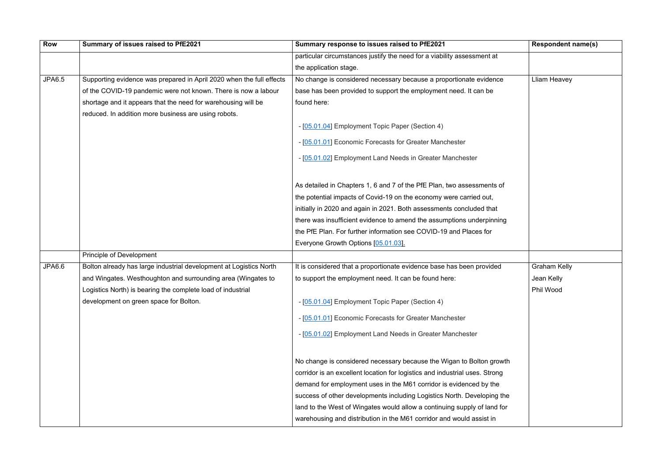| <b>Row</b>    | Summary of issues raised to PfE2021                                  | Summary response to issues raised to PfE2021                                | <b>Respondent name(s)</b> |
|---------------|----------------------------------------------------------------------|-----------------------------------------------------------------------------|---------------------------|
|               |                                                                      | particular circumstances justify the need for a viability assessment at     |                           |
|               |                                                                      | the application stage.                                                      |                           |
| <b>JPA6.5</b> | Supporting evidence was prepared in April 2020 when the full effects | No change is considered necessary because a proportionate evidence          | Lliam Heavey              |
|               | of the COVID-19 pandemic were not known. There is now a labour       | base has been provided to support the employment need. It can be            |                           |
|               | shortage and it appears that the need for warehousing will be        | found here:                                                                 |                           |
|               | reduced. In addition more business are using robots.                 |                                                                             |                           |
|               |                                                                      | - [05.01.04] Employment Topic Paper (Section 4)                             |                           |
|               |                                                                      | - [05.01.01] Economic Forecasts for Greater Manchester                      |                           |
|               |                                                                      | - [05.01.02] Employment Land Needs in Greater Manchester                    |                           |
|               |                                                                      | As detailed in Chapters 1, 6 and 7 of the PfE Plan, two assessments of      |                           |
|               |                                                                      | the potential impacts of Covid-19 on the economy were carried out,          |                           |
|               |                                                                      | initially in 2020 and again in 2021. Both assessments concluded that        |                           |
|               |                                                                      | there was insufficient evidence to amend the assumptions underpinning       |                           |
|               |                                                                      | the PfE Plan. For further information see COVID-19 and Places for           |                           |
|               |                                                                      | Everyone Growth Options [05.01.03].                                         |                           |
|               | <b>Principle of Development</b>                                      |                                                                             |                           |
| JPA6.6        | Bolton already has large industrial development at Logistics North   | It is considered that a proportionate evidence base has been provided       | <b>Graham Kelly</b>       |
|               | and Wingates. Westhoughton and surrounding area (Wingates to         | to support the employment need. It can be found here:                       | Jean Kelly                |
|               | Logistics North) is bearing the complete load of industrial          |                                                                             | Phil Wood                 |
|               | development on green space for Bolton.                               | - [05.01.04] Employment Topic Paper (Section 4)                             |                           |
|               |                                                                      | - [05.01.01] Economic Forecasts for Greater Manchester                      |                           |
|               |                                                                      | - [05.01.02] Employment Land Needs in Greater Manchester                    |                           |
|               |                                                                      | No change is considered necessary because the Wigan to Bolton growth        |                           |
|               |                                                                      | corridor is an excellent location for logistics and industrial uses. Strong |                           |
|               |                                                                      | demand for employment uses in the M61 corridor is evidenced by the          |                           |
|               |                                                                      | success of other developments including Logistics North. Developing the     |                           |
|               |                                                                      | land to the West of Wingates would allow a continuing supply of land for    |                           |
|               |                                                                      | warehousing and distribution in the M61 corridor and would assist in        |                           |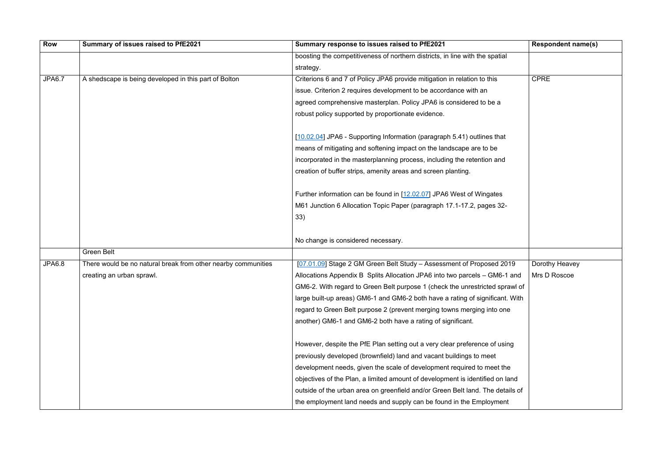| <b>Row</b>    | Summary of issues raised to PfE2021                           | Summary response to issues raised to PfE2021                                   | <b>Respondent name(s)</b> |
|---------------|---------------------------------------------------------------|--------------------------------------------------------------------------------|---------------------------|
|               |                                                               | boosting the competitiveness of northern districts, in line with the spatial   |                           |
|               |                                                               | strategy.                                                                      |                           |
| <b>JPA6.7</b> | A shedscape is being developed in this part of Bolton         | Criterions 6 and 7 of Policy JPA6 provide mitigation in relation to this       | <b>CPRE</b>               |
|               |                                                               | issue. Criterion 2 requires development to be accordance with an               |                           |
|               |                                                               | agreed comprehensive masterplan. Policy JPA6 is considered to be a             |                           |
|               |                                                               | robust policy supported by proportionate evidence.                             |                           |
|               |                                                               | [10.02.04] JPA6 - Supporting Information (paragraph 5.41) outlines that        |                           |
|               |                                                               | means of mitigating and softening impact on the landscape are to be            |                           |
|               |                                                               | incorporated in the masterplanning process, including the retention and        |                           |
|               |                                                               | creation of buffer strips, amenity areas and screen planting.                  |                           |
|               |                                                               | Further information can be found in [12.02.07] JPA6 West of Wingates           |                           |
|               |                                                               | M61 Junction 6 Allocation Topic Paper (paragraph 17.1-17.2, pages 32-          |                           |
|               |                                                               | 33)                                                                            |                           |
|               |                                                               |                                                                                |                           |
|               |                                                               | No change is considered necessary.                                             |                           |
|               | <b>Green Belt</b>                                             |                                                                                |                           |
| JPA6.8        | There would be no natural break from other nearby communities | [07.01.09] Stage 2 GM Green Belt Study - Assessment of Proposed 2019           | Dorothy Heavey            |
|               | creating an urban sprawl.                                     | Allocations Appendix B Splits Allocation JPA6 into two parcels – GM6-1 and     | Mrs D Roscoe              |
|               |                                                               | GM6-2. With regard to Green Belt purpose 1 (check the unrestricted sprawl of   |                           |
|               |                                                               | large built-up areas) GM6-1 and GM6-2 both have a rating of significant. With  |                           |
|               |                                                               | regard to Green Belt purpose 2 (prevent merging towns merging into one         |                           |
|               |                                                               | another) GM6-1 and GM6-2 both have a rating of significant.                    |                           |
|               |                                                               | However, despite the PfE Plan setting out a very clear preference of using     |                           |
|               |                                                               | previously developed (brownfield) land and vacant buildings to meet            |                           |
|               |                                                               | development needs, given the scale of development required to meet the         |                           |
|               |                                                               | objectives of the Plan, a limited amount of development is identified on land  |                           |
|               |                                                               | outside of the urban area on greenfield and/or Green Belt land. The details of |                           |
|               |                                                               | the employment land needs and supply can be found in the Employment            |                           |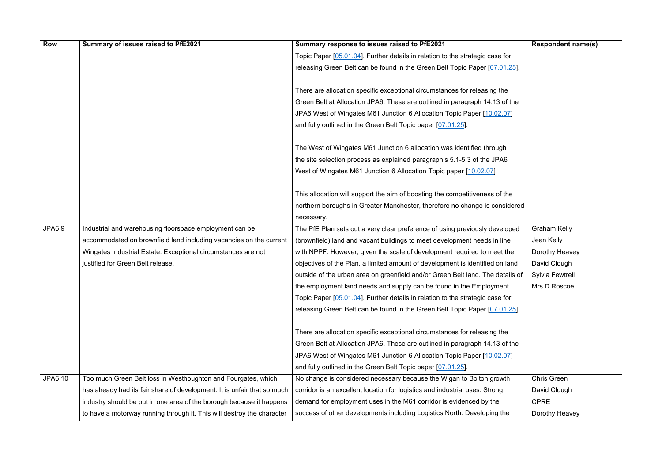| Row           | Summary of issues raised to PfE2021                                      | Summary response to issues raised to PfE2021                                   | <b>Respondent name(s)</b> |
|---------------|--------------------------------------------------------------------------|--------------------------------------------------------------------------------|---------------------------|
|               |                                                                          | Topic Paper [05.01.04]. Further details in relation to the strategic case for  |                           |
|               |                                                                          | releasing Green Belt can be found in the Green Belt Topic Paper [07.01.25].    |                           |
|               |                                                                          |                                                                                |                           |
|               |                                                                          | There are allocation specific exceptional circumstances for releasing the      |                           |
|               |                                                                          | Green Belt at Allocation JPA6. These are outlined in paragraph 14.13 of the    |                           |
|               |                                                                          | JPA6 West of Wingates M61 Junction 6 Allocation Topic Paper [10.02.07]         |                           |
|               |                                                                          | and fully outlined in the Green Belt Topic paper [07.01.25].                   |                           |
|               |                                                                          | The West of Wingates M61 Junction 6 allocation was identified through          |                           |
|               |                                                                          | the site selection process as explained paragraph's 5.1-5.3 of the JPA6        |                           |
|               |                                                                          | West of Wingates M61 Junction 6 Allocation Topic paper [10.02.07]              |                           |
|               |                                                                          | This allocation will support the aim of boosting the competitiveness of the    |                           |
|               |                                                                          | northern boroughs in Greater Manchester, therefore no change is considered     |                           |
|               |                                                                          | necessary.                                                                     |                           |
| <b>JPA6.9</b> | Industrial and warehousing floorspace employment can be                  | The PfE Plan sets out a very clear preference of using previously developed    | <b>Graham Kelly</b>       |
|               | accommodated on brownfield land including vacancies on the current       | (brownfield) land and vacant buildings to meet development needs in line       | Jean Kelly                |
|               | Wingates Industrial Estate. Exceptional circumstances are not            | with NPPF. However, given the scale of development required to meet the        | Dorothy Heavey            |
|               | justified for Green Belt release.                                        | objectives of the Plan, a limited amount of development is identified on land  | David Clough              |
|               |                                                                          | outside of the urban area on greenfield and/or Green Belt land. The details of | <b>Sylvia Fewtrell</b>    |
|               |                                                                          | the employment land needs and supply can be found in the Employment            | Mrs D Roscoe              |
|               |                                                                          | Topic Paper [05.01.04]. Further details in relation to the strategic case for  |                           |
|               |                                                                          | releasing Green Belt can be found in the Green Belt Topic Paper [07.01.25].    |                           |
|               |                                                                          |                                                                                |                           |
|               |                                                                          | There are allocation specific exceptional circumstances for releasing the      |                           |
|               |                                                                          | Green Belt at Allocation JPA6. These are outlined in paragraph 14.13 of the    |                           |
|               |                                                                          | JPA6 West of Wingates M61 Junction 6 Allocation Topic Paper [10.02.07]         |                           |
|               |                                                                          | and fully outlined in the Green Belt Topic paper [07.01.25].                   |                           |
| JPA6.10       | Too much Green Belt loss in Westhoughton and Fourgates, which            | No change is considered necessary because the Wigan to Bolton growth           | <b>Chris Green</b>        |
|               | has already had its fair share of development. It is unfair that so much | corridor is an excellent location for logistics and industrial uses. Strong    | David Clough              |
|               | industry should be put in one area of the borough because it happens     | demand for employment uses in the M61 corridor is evidenced by the             | <b>CPRE</b>               |
|               | to have a motorway running through it. This will destroy the character   | success of other developments including Logistics North. Developing the        | Dorothy Heavey            |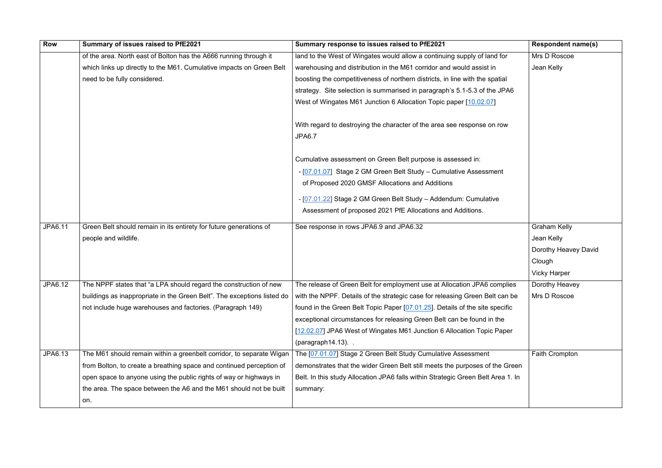| Row            | Summary of issues raised to PfE2021                                     | Summary response to issues raised to PfE2021                                             | <b>Respondent name(s)</b> |
|----------------|-------------------------------------------------------------------------|------------------------------------------------------------------------------------------|---------------------------|
|                | of the area. North east of Bolton has the A666 running through it       | land to the West of Wingates would allow a continuing supply of land for                 | Mrs D Roscoe              |
|                | which links up directly to the M61. Cumulative impacts on Green Belt    | warehousing and distribution in the M61 corridor and would assist in                     | Jean Kelly                |
|                | need to be fully considered.                                            | boosting the competitiveness of northern districts, in line with the spatial             |                           |
|                |                                                                         | strategy. Site selection is summarised in paragraph's 5.1-5.3 of the JPA6                |                           |
|                |                                                                         | West of Wingates M61 Junction 6 Allocation Topic paper [10.02.07]                        |                           |
|                |                                                                         | With regard to destroying the character of the area see response on row<br><b>JPA6.7</b> |                           |
|                |                                                                         | Cumulative assessment on Green Belt purpose is assessed in:                              |                           |
|                |                                                                         | - [07.01.07] Stage 2 GM Green Belt Study - Cumulative Assessment                         |                           |
|                |                                                                         | of Proposed 2020 GMSF Allocations and Additions                                          |                           |
|                |                                                                         | - [07.01.22] Stage 2 GM Green Belt Study - Addendum: Cumulative                          |                           |
|                |                                                                         | Assessment of proposed 2021 PfE Allocations and Additions.                               |                           |
|                |                                                                         |                                                                                          |                           |
| <b>JPA6.11</b> | Green Belt should remain in its entirety for future generations of      | See response in rows JPA6.9 and JPA6.32                                                  | <b>Graham Kelly</b>       |
|                | people and wildlife.                                                    |                                                                                          | Jean Kelly                |
|                |                                                                         |                                                                                          | Dorothy Heavey David      |
|                |                                                                         |                                                                                          | Clough                    |
|                |                                                                         |                                                                                          | <b>Vicky Harper</b>       |
| JPA6.12        | The NPPF states that "a LPA should regard the construction of new       | The release of Green Belt for employment use at Allocation JPA6 complies                 | Dorothy Heavey            |
|                | buildings as inappropriate in the Green Belt". The exceptions listed do | with the NPPF. Details of the strategic case for releasing Green Belt can be             | Mrs D Roscoe              |
|                | not include huge warehouses and factories. (Paragraph 149)              | found in the Green Belt Topic Paper [07.01.25]. Details of the site specific             |                           |
|                |                                                                         | exceptional circumstances for releasing Green Belt can be found in the                   |                           |
|                |                                                                         | [12.02.07] JPA6 West of Wingates M61 Junction 6 Allocation Topic Paper                   |                           |
|                |                                                                         | $(paragraph14.13)$ .                                                                     |                           |
| JPA6.13        | The M61 should remain within a greenbelt corridor, to separate Wigan    | The [07.01.07] Stage 2 Green Belt Study Cumulative Assessment                            | Faith Crompton            |
|                | from Bolton, to create a breathing space and continued perception of    | demonstrates that the wider Green Belt still meets the purposes of the Green             |                           |
|                | open space to anyone using the public rights of way or highways in      | Belt. In this study Allocation JPA6 falls within Strategic Green Belt Area 1. In         |                           |
|                | the area. The space between the A6 and the M61 should not be built      | summary:                                                                                 |                           |
|                | on.                                                                     |                                                                                          |                           |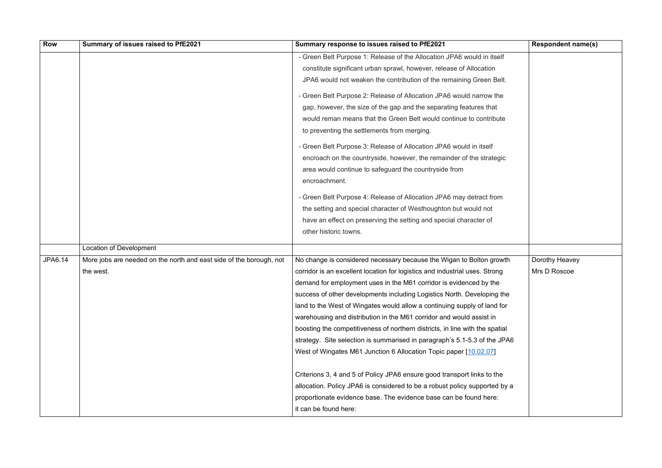| Row     | Summary of issues raised to PfE2021                                 | Summary response to issues raised to PfE2021                                 | <b>Respondent name(s)</b> |
|---------|---------------------------------------------------------------------|------------------------------------------------------------------------------|---------------------------|
|         |                                                                     | - Green Belt Purpose 1: Release of the Allocation JPA6 would in itself       |                           |
|         |                                                                     | constitute significant urban sprawl, however, release of Allocation          |                           |
|         |                                                                     | JPA6 would not weaken the contribution of the remaining Green Belt.          |                           |
|         |                                                                     | - Green Belt Purpose 2: Release of Allocation JPA6 would narrow the          |                           |
|         |                                                                     | gap, however, the size of the gap and the separating features that           |                           |
|         |                                                                     | would reman means that the Green Belt would continue to contribute           |                           |
|         |                                                                     | to preventing the settlements from merging.                                  |                           |
|         |                                                                     | - Green Belt Purpose 3: Release of Allocation JPA6 would in itself           |                           |
|         |                                                                     | encroach on the countryside, however, the remainder of the strategic         |                           |
|         |                                                                     | area would continue to safeguard the countryside from                        |                           |
|         |                                                                     | encroachment.                                                                |                           |
|         |                                                                     | - Green Belt Purpose 4: Release of Allocation JPA6 may detract from          |                           |
|         |                                                                     | the setting and special character of Westhoughton but would not              |                           |
|         |                                                                     | have an effect on preserving the setting and special character of            |                           |
|         |                                                                     | other historic towns.                                                        |                           |
|         | Location of Development                                             |                                                                              |                           |
| JPA6.14 | More jobs are needed on the north and east side of the borough, not | No change is considered necessary because the Wigan to Bolton growth         | Dorothy Heavey            |
|         | the west.                                                           | corridor is an excellent location for logistics and industrial uses. Strong  | Mrs D Roscoe              |
|         |                                                                     | demand for employment uses in the M61 corridor is evidenced by the           |                           |
|         |                                                                     | success of other developments including Logistics North. Developing the      |                           |
|         |                                                                     | land to the West of Wingates would allow a continuing supply of land for     |                           |
|         |                                                                     | warehousing and distribution in the M61 corridor and would assist in         |                           |
|         |                                                                     | boosting the competitiveness of northern districts, in line with the spatial |                           |
|         |                                                                     | strategy. Site selection is summarised in paragraph's 5.1-5.3 of the JPA6    |                           |
|         |                                                                     | West of Wingates M61 Junction 6 Allocation Topic paper [10.02.07]            |                           |
|         |                                                                     | Criterions 3, 4 and 5 of Policy JPA6 ensure good transport links to the      |                           |
|         |                                                                     | allocation. Policy JPA6 is considered to be a robust policy supported by a   |                           |
|         |                                                                     | proportionate evidence base. The evidence base can be found here:            |                           |
|         |                                                                     | it can be found here:                                                        |                           |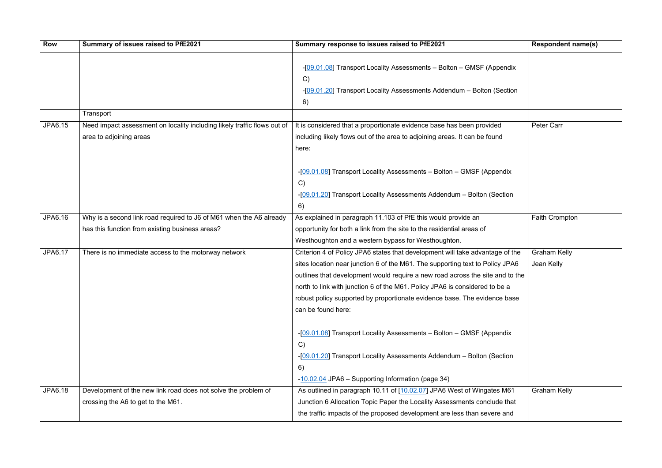| <b>Row</b>     | Summary of issues raised to PfE2021                                                                  | Summary response to issues raised to PfE2021                                                                                                                                                                                                                                                                                                                                                                                      | <b>Respondent name(s)</b>         |
|----------------|------------------------------------------------------------------------------------------------------|-----------------------------------------------------------------------------------------------------------------------------------------------------------------------------------------------------------------------------------------------------------------------------------------------------------------------------------------------------------------------------------------------------------------------------------|-----------------------------------|
|                |                                                                                                      | -[09.01.08] Transport Locality Assessments - Bolton - GMSF (Appendix<br>C)<br>-[09.01.20] Transport Locality Assessments Addendum - Bolton (Section<br>6)                                                                                                                                                                                                                                                                         |                                   |
|                | Transport                                                                                            |                                                                                                                                                                                                                                                                                                                                                                                                                                   |                                   |
| <b>JPA6.15</b> | Need impact assessment on locality including likely traffic flows out of<br>area to adjoining areas  | It is considered that a proportionate evidence base has been provided<br>including likely flows out of the area to adjoining areas. It can be found<br>here:                                                                                                                                                                                                                                                                      | <b>Peter Carr</b>                 |
|                |                                                                                                      | -[09.01.08] Transport Locality Assessments - Bolton - GMSF (Appendix<br>$\mathcal{C}$<br>-[09.01.20] Transport Locality Assessments Addendum - Bolton (Section<br>6)                                                                                                                                                                                                                                                              |                                   |
| JPA6.16        | Why is a second link road required to J6 of M61 when the A6 already                                  | As explained in paragraph 11.103 of PfE this would provide an                                                                                                                                                                                                                                                                                                                                                                     | <b>Faith Crompton</b>             |
|                | has this function from existing business areas?                                                      | opportunity for both a link from the site to the residential areas of<br>Westhoughton and a western bypass for Westhoughton.                                                                                                                                                                                                                                                                                                      |                                   |
| <b>JPA6.17</b> | There is no immediate access to the motorway network                                                 | Criterion 4 of Policy JPA6 states that development will take advantage of the<br>sites location near junction 6 of the M61. The supporting text to Policy JPA6<br>outlines that development would require a new road across the site and to the<br>north to link with junction 6 of the M61. Policy JPA6 is considered to be a<br>robust policy supported by proportionate evidence base. The evidence base<br>can be found here: | <b>Graham Kelly</b><br>Jean Kelly |
|                |                                                                                                      | -[09.01.08] Transport Locality Assessments - Bolton - GMSF (Appendix<br>C)<br>-[09.01.20] Transport Locality Assessments Addendum - Bolton (Section<br>6)<br>-10.02.04 JPA6 – Supporting Information (page 34)                                                                                                                                                                                                                    |                                   |
| <b>JPA6.18</b> | Development of the new link road does not solve the problem of<br>crossing the A6 to get to the M61. | As outlined in paragraph 10.11 of [10.02.07] JPA6 West of Wingates M61<br>Junction 6 Allocation Topic Paper the Locality Assessments conclude that<br>the traffic impacts of the proposed development are less than severe and                                                                                                                                                                                                    | <b>Graham Kelly</b>               |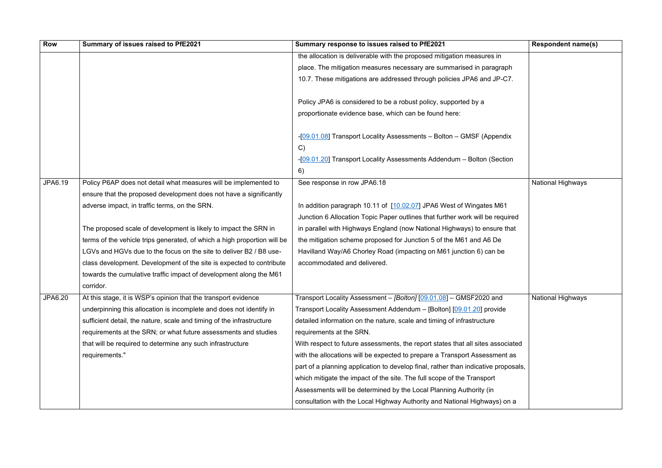| <b>Row</b> | Summary of issues raised to PfE2021                                      | Summary response to issues raised to PfE2021                                       | <b>Respondent name(s)</b> |
|------------|--------------------------------------------------------------------------|------------------------------------------------------------------------------------|---------------------------|
|            |                                                                          | the allocation is deliverable with the proposed mitigation measures in             |                           |
|            |                                                                          | place. The mitigation measures necessary are summarised in paragraph               |                           |
|            |                                                                          | 10.7. These mitigations are addressed through policies JPA6 and JP-C7.             |                           |
|            |                                                                          |                                                                                    |                           |
|            |                                                                          | Policy JPA6 is considered to be a robust policy, supported by a                    |                           |
|            |                                                                          | proportionate evidence base, which can be found here:                              |                           |
|            |                                                                          |                                                                                    |                           |
|            |                                                                          | -[09.01.08] Transport Locality Assessments - Bolton - GMSF (Appendix               |                           |
|            |                                                                          | C)                                                                                 |                           |
|            |                                                                          | -[09.01.20] Transport Locality Assessments Addendum - Bolton (Section              |                           |
|            |                                                                          | 6)                                                                                 |                           |
| JPA6.19    | Policy P6AP does not detail what measures will be implemented to         | See response in row JPA6.18                                                        | <b>National Highways</b>  |
|            | ensure that the proposed development does not have a significantly       |                                                                                    |                           |
|            | adverse impact, in traffic terms, on the SRN.                            | In addition paragraph 10.11 of [10.02.07] JPA6 West of Wingates M61                |                           |
|            |                                                                          | Junction 6 Allocation Topic Paper outlines that further work will be required      |                           |
|            | The proposed scale of development is likely to impact the SRN in         | in parallel with Highways England (now National Highways) to ensure that           |                           |
|            | terms of the vehicle trips generated, of which a high proportion will be | the mitigation scheme proposed for Junction 5 of the M61 and A6 De                 |                           |
|            | LGVs and HGVs due to the focus on the site to deliver B2 / B8 use-       | Havilland Way/A6 Chorley Road (impacting on M61 junction 6) can be                 |                           |
|            | class development. Development of the site is expected to contribute     | accommodated and delivered.                                                        |                           |
|            | towards the cumulative traffic impact of development along the M61       |                                                                                    |                           |
|            | corridor.                                                                |                                                                                    |                           |
| JPA6.20    | At this stage, it is WSP's opinion that the transport evidence           | Transport Locality Assessment - [Bolton] [09.01.08] - GMSF2020 and                 | <b>National Highways</b>  |
|            | underpinning this allocation is incomplete and does not identify in      | Transport Locality Assessment Addendum - [Bolton] [09.01.20] provide               |                           |
|            | sufficient detail, the nature, scale and timing of the infrastructure    | detailed information on the nature, scale and timing of infrastructure             |                           |
|            | requirements at the SRN; or what future assessments and studies          | requirements at the SRN.                                                           |                           |
|            | that will be required to determine any such infrastructure               | With respect to future assessments, the report states that all sites associated    |                           |
|            | requirements."                                                           | with the allocations will be expected to prepare a Transport Assessment as         |                           |
|            |                                                                          | part of a planning application to develop final, rather than indicative proposals, |                           |
|            |                                                                          | which mitigate the impact of the site. The full scope of the Transport             |                           |
|            |                                                                          | Assessments will be determined by the Local Planning Authority (in                 |                           |
|            |                                                                          | consultation with the Local Highway Authority and National Highways) on a          |                           |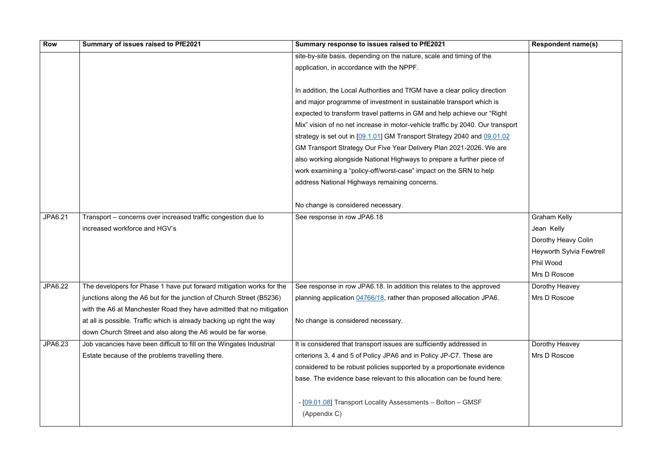| <b>Row</b>     | Summary of issues raised to PfE2021                                   | Summary response to issues raised to PfE2021                                   | <b>Respondent name(s)</b>       |
|----------------|-----------------------------------------------------------------------|--------------------------------------------------------------------------------|---------------------------------|
|                |                                                                       | site-by-site basis, depending on the nature, scale and timing of the           |                                 |
|                |                                                                       | application, in accordance with the NPPF.                                      |                                 |
|                |                                                                       |                                                                                |                                 |
|                |                                                                       | In addition, the Local Authorities and TfGM have a clear policy direction      |                                 |
|                |                                                                       | and major programme of investment in sustainable transport which is            |                                 |
|                |                                                                       | expected to transform travel patterns in GM and help achieve our "Right"       |                                 |
|                |                                                                       | Mix" vision of no net increase in motor-vehicle traffic by 2040. Our transport |                                 |
|                |                                                                       | strategy is set out in [09.1.01] GM Transport Strategy 2040 and 09.01.02       |                                 |
|                |                                                                       | GM Transport Strategy Our Five Year Delivery Plan 2021-2026. We are            |                                 |
|                |                                                                       | also working alongside National Highways to prepare a further piece of         |                                 |
|                |                                                                       | work examining a "policy-off/worst-case" impact on the SRN to help             |                                 |
|                |                                                                       | address National Highways remaining concerns.                                  |                                 |
|                |                                                                       |                                                                                |                                 |
|                |                                                                       | No change is considered necessary.                                             |                                 |
| <b>JPA6.21</b> | Transport - concerns over increased traffic congestion due to         | See response in row JPA6.18                                                    | <b>Graham Kelly</b>             |
|                | increased workforce and HGV's                                         |                                                                                | Jean Kelly                      |
|                |                                                                       |                                                                                | Dorothy Heavy Colin             |
|                |                                                                       |                                                                                | <b>Heyworth Sylvia Fewtrell</b> |
|                |                                                                       |                                                                                | Phil Wood                       |
|                |                                                                       |                                                                                | Mrs D Roscoe                    |
| JPA6.22        | The developers for Phase 1 have put forward mitigation works for the  | See response in row JPA6.18. In addition this relates to the approved          | Dorothy Heavey                  |
|                | junctions along the A6 but for the junction of Church Street (B5236)  | planning application 04766/18, rather than proposed allocation JPA6.           | Mrs D Roscoe                    |
|                | with the A6 at Manchester Road they have admitted that no mitigation  |                                                                                |                                 |
|                | at all is possible. Traffic which is already backing up right the way | No change is considered necessary.                                             |                                 |
|                | down Church Street and also along the A6 would be far worse.          |                                                                                |                                 |
| JPA6.23        | Job vacancies have been difficult to fill on the Wingates Industrial  | It is considered that transport issues are sufficiently addressed in           | Dorothy Heavey                  |
|                | Estate because of the problems travelling there.                      | criterions 3, 4 and 5 of Policy JPA6 and in Policy JP-C7. These are            | Mrs D Roscoe                    |
|                |                                                                       | considered to be robust policies supported by a proportionate evidence         |                                 |
|                |                                                                       | base. The evidence base relevant to this allocation can be found here:         |                                 |
|                |                                                                       |                                                                                |                                 |
|                |                                                                       | - [09.01.08] Transport Locality Assessments - Bolton - GMSF                    |                                 |
|                |                                                                       | (Appendix C)                                                                   |                                 |
|                |                                                                       |                                                                                |                                 |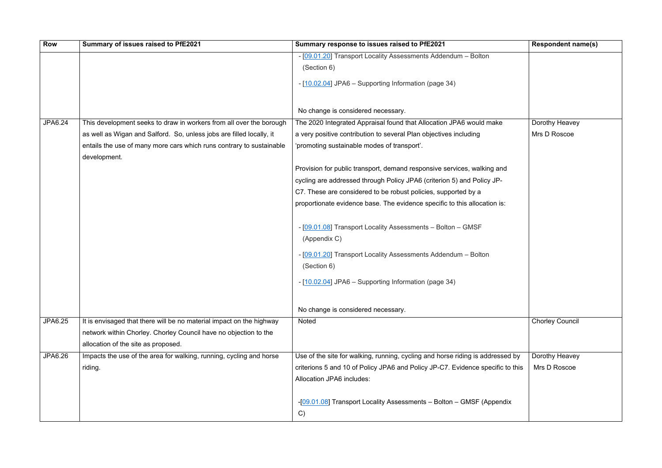| <b>Row</b>     | Summary of issues raised to PfE2021                                  | Summary response to issues raised to PfE2021                                   | <b>Respondent name(s)</b> |
|----------------|----------------------------------------------------------------------|--------------------------------------------------------------------------------|---------------------------|
|                |                                                                      | - [09.01.20] Transport Locality Assessments Addendum - Bolton                  |                           |
|                |                                                                      | (Section 6)                                                                    |                           |
|                |                                                                      | - [10.02.04] JPA6 - Supporting Information (page 34)                           |                           |
|                |                                                                      |                                                                                |                           |
|                |                                                                      |                                                                                |                           |
|                |                                                                      | No change is considered necessary.                                             |                           |
| JPA6.24        | This development seeks to draw in workers from all over the borough  | The 2020 Integrated Appraisal found that Allocation JPA6 would make            | Dorothy Heavey            |
|                | as well as Wigan and Salford. So, unless jobs are filled locally, it | a very positive contribution to several Plan objectives including              | Mrs D Roscoe              |
|                | entails the use of many more cars which runs contrary to sustainable | 'promoting sustainable modes of transport'.                                    |                           |
|                | development.                                                         |                                                                                |                           |
|                |                                                                      | Provision for public transport, demand responsive services, walking and        |                           |
|                |                                                                      | cycling are addressed through Policy JPA6 (criterion 5) and Policy JP-         |                           |
|                |                                                                      | C7. These are considered to be robust policies, supported by a                 |                           |
|                |                                                                      | proportionate evidence base. The evidence specific to this allocation is:      |                           |
|                |                                                                      |                                                                                |                           |
|                |                                                                      | - [09.01.08] Transport Locality Assessments - Bolton - GMSF                    |                           |
|                |                                                                      | (Appendix C)                                                                   |                           |
|                |                                                                      |                                                                                |                           |
|                |                                                                      | - [09.01.20] Transport Locality Assessments Addendum - Bolton                  |                           |
|                |                                                                      | (Section 6)                                                                    |                           |
|                |                                                                      | - [10.02.04] JPA6 - Supporting Information (page 34)                           |                           |
|                |                                                                      |                                                                                |                           |
|                |                                                                      |                                                                                |                           |
|                |                                                                      | No change is considered necessary.                                             |                           |
| JPA6.25        | It is envisaged that there will be no material impact on the highway | <b>Noted</b>                                                                   | <b>Chorley Council</b>    |
|                | network within Chorley. Chorley Council have no objection to the     |                                                                                |                           |
|                | allocation of the site as proposed.                                  |                                                                                |                           |
| <b>JPA6.26</b> | Impacts the use of the area for walking, running, cycling and horse  | Use of the site for walking, running, cycling and horse riding is addressed by | Dorothy Heavey            |
|                | riding.                                                              | criterions 5 and 10 of Policy JPA6 and Policy JP-C7. Evidence specific to this | Mrs D Roscoe              |
|                |                                                                      | Allocation JPA6 includes:                                                      |                           |
|                |                                                                      |                                                                                |                           |
|                |                                                                      | -[09.01.08] Transport Locality Assessments - Bolton - GMSF (Appendix           |                           |
|                |                                                                      | C)                                                                             |                           |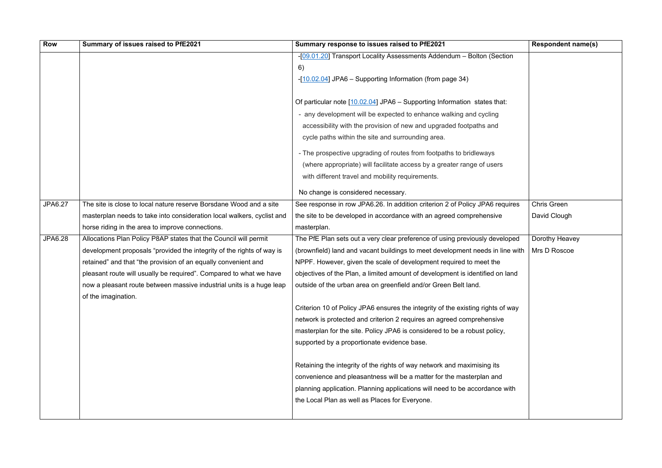| Row            | Summary of issues raised to PfE2021                                    | Summary response to issues raised to PfE2021                                    | <b>Respondent name(s)</b> |
|----------------|------------------------------------------------------------------------|---------------------------------------------------------------------------------|---------------------------|
|                |                                                                        | -[09.01.20] Transport Locality Assessments Addendum - Bolton (Section           |                           |
|                |                                                                        | 6)                                                                              |                           |
|                |                                                                        | -[10.02.04] JPA6 - Supporting Information (from page 34)                        |                           |
|                |                                                                        |                                                                                 |                           |
|                |                                                                        | Of particular note [10.02.04] JPA6 - Supporting Information states that:        |                           |
|                |                                                                        | - any development will be expected to enhance walking and cycling               |                           |
|                |                                                                        | accessibility with the provision of new and upgraded footpaths and              |                           |
|                |                                                                        | cycle paths within the site and surrounding area.                               |                           |
|                |                                                                        | - The prospective upgrading of routes from footpaths to bridleways              |                           |
|                |                                                                        | (where appropriate) will facilitate access by a greater range of users          |                           |
|                |                                                                        | with different travel and mobility requirements.                                |                           |
|                |                                                                        |                                                                                 |                           |
|                |                                                                        | No change is considered necessary.                                              |                           |
| JPA6.27        | The site is close to local nature reserve Borsdane Wood and a site     | See response in row JPA6.26. In addition criterion 2 of Policy JPA6 requires    | <b>Chris Green</b>        |
|                | masterplan needs to take into consideration local walkers, cyclist and | the site to be developed in accordance with an agreed comprehensive             | David Clough              |
|                | horse riding in the area to improve connections.                       | masterplan.                                                                     |                           |
| <b>JPA6.28</b> | Allocations Plan Policy P8AP states that the Council will permit       | The PfE Plan sets out a very clear preference of using previously developed     | Dorothy Heavey            |
|                | development proposals "provided the integrity of the rights of way is  | (brownfield) land and vacant buildings to meet development needs in line with   | Mrs D Roscoe              |
|                | retained" and that "the provision of an equally convenient and         | NPPF. However, given the scale of development required to meet the              |                           |
|                | pleasant route will usually be required". Compared to what we have     | objectives of the Plan, a limited amount of development is identified on land   |                           |
|                | now a pleasant route between massive industrial units is a huge leap   | outside of the urban area on greenfield and/or Green Belt land.                 |                           |
|                | of the imagination.                                                    |                                                                                 |                           |
|                |                                                                        | Criterion 10 of Policy JPA6 ensures the integrity of the existing rights of way |                           |
|                |                                                                        | network is protected and criterion 2 requires an agreed comprehensive           |                           |
|                |                                                                        | masterplan for the site. Policy JPA6 is considered to be a robust policy,       |                           |
|                |                                                                        | supported by a proportionate evidence base.                                     |                           |
|                |                                                                        | Retaining the integrity of the rights of way network and maximising its         |                           |
|                |                                                                        | convenience and pleasantness will be a matter for the masterplan and            |                           |
|                |                                                                        | planning application. Planning applications will need to be accordance with     |                           |
|                |                                                                        | the Local Plan as well as Places for Everyone.                                  |                           |
|                |                                                                        |                                                                                 |                           |
|                |                                                                        |                                                                                 |                           |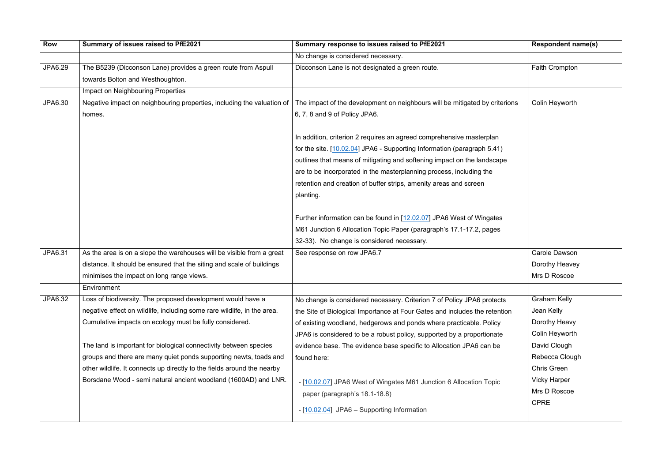| <b>Row</b>     | Summary of issues raised to PfE2021                                     | Summary response to issues raised to PfE2021                                | <b>Respondent name(s)</b> |
|----------------|-------------------------------------------------------------------------|-----------------------------------------------------------------------------|---------------------------|
|                |                                                                         | No change is considered necessary.                                          |                           |
| <b>JPA6.29</b> | The B5239 (Dicconson Lane) provides a green route from Aspull           | Dicconson Lane is not designated a green route.                             | <b>Faith Crompton</b>     |
|                | towards Bolton and Westhoughton.                                        |                                                                             |                           |
|                | <b>Impact on Neighbouring Properties</b>                                |                                                                             |                           |
| JPA6.30        | Negative impact on neighbouring properties, including the valuation of  | The impact of the development on neighbours will be mitigated by criterions | Colin Heyworth            |
|                | homes.                                                                  | 6, 7, 8 and 9 of Policy JPA6.                                               |                           |
|                |                                                                         |                                                                             |                           |
|                |                                                                         | In addition, criterion 2 requires an agreed comprehensive masterplan        |                           |
|                |                                                                         | for the site. [10.02.04] JPA6 - Supporting Information (paragraph 5.41)     |                           |
|                |                                                                         | outlines that means of mitigating and softening impact on the landscape     |                           |
|                |                                                                         | are to be incorporated in the masterplanning process, including the         |                           |
|                |                                                                         | retention and creation of buffer strips, amenity areas and screen           |                           |
|                |                                                                         | planting.                                                                   |                           |
|                |                                                                         |                                                                             |                           |
|                |                                                                         | Further information can be found in [12.02.07] JPA6 West of Wingates        |                           |
|                |                                                                         | M61 Junction 6 Allocation Topic Paper (paragraph's 17.1-17.2, pages         |                           |
|                |                                                                         | 32-33). No change is considered necessary.                                  |                           |
| JPA6.31        | As the area is on a slope the warehouses will be visible from a great   | See response on row JPA6.7                                                  | Carole Dawson             |
|                | distance. It should be ensured that the siting and scale of buildings   |                                                                             | Dorothy Heavey            |
|                | minimises the impact on long range views.                               |                                                                             | Mrs D Roscoe              |
|                | Environment                                                             |                                                                             |                           |
| JPA6.32        | Loss of biodiversity. The proposed development would have a             | No change is considered necessary. Criterion 7 of Policy JPA6 protects      | <b>Graham Kelly</b>       |
|                | negative effect on wildlife, including some rare wildlife, in the area. | the Site of Biological Importance at Four Gates and includes the retention  | Jean Kelly                |
|                | Cumulative impacts on ecology must be fully considered.                 | of existing woodland, hedgerows and ponds where practicable. Policy         | Dorothy Heavy             |
|                |                                                                         | JPA6 is considered to be a robust policy, supported by a proportionate      | Colin Heyworth            |
|                | The land is important for biological connectivity between species       | evidence base. The evidence base specific to Allocation JPA6 can be         | David Clough              |
|                | groups and there are many quiet ponds supporting newts, toads and       | found here:                                                                 | Rebecca Clough            |
|                | other wildlife. It connects up directly to the fields around the nearby |                                                                             | Chris Green               |
|                | Borsdane Wood - semi natural ancient woodland (1600AD) and LNR.         | - [10.02.07] JPA6 West of Wingates M61 Junction 6 Allocation Topic          | <b>Vicky Harper</b>       |
|                |                                                                         | paper (paragraph's 18.1-18.8)                                               | Mrs D Roscoe              |
|                |                                                                         | - [10.02.04] JPA6 - Supporting Information                                  | <b>CPRE</b>               |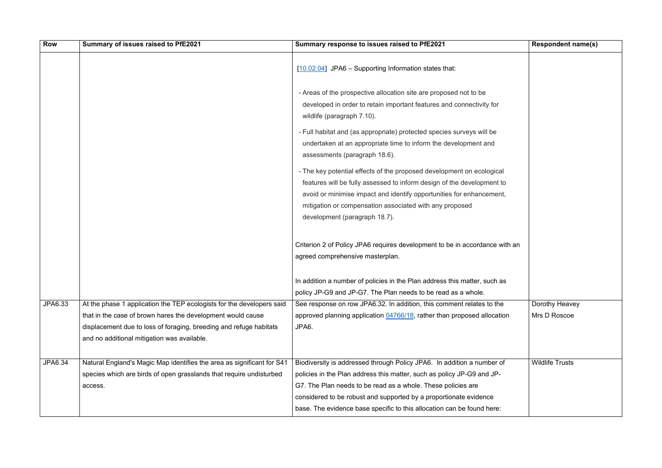| <b>Row</b> | Summary of issues raised to PfE2021                                                                                                                                                                                                                       | Summary response to issues raised to PfE2021                                                                                                                                                                                                                                                                                                                    | <b>Respondent name(s)</b>      |
|------------|-----------------------------------------------------------------------------------------------------------------------------------------------------------------------------------------------------------------------------------------------------------|-----------------------------------------------------------------------------------------------------------------------------------------------------------------------------------------------------------------------------------------------------------------------------------------------------------------------------------------------------------------|--------------------------------|
|            |                                                                                                                                                                                                                                                           | [10.02.04] JPA6 - Supporting Information states that:                                                                                                                                                                                                                                                                                                           |                                |
|            |                                                                                                                                                                                                                                                           | - Areas of the prospective allocation site are proposed not to be<br>developed in order to retain important features and connectivity for<br>wildlife (paragraph 7.10).                                                                                                                                                                                         |                                |
|            |                                                                                                                                                                                                                                                           | - Full habitat and (as appropriate) protected species surveys will be<br>undertaken at an appropriate time to inform the development and<br>assessments (paragraph 18.6).                                                                                                                                                                                       |                                |
|            |                                                                                                                                                                                                                                                           | - The key potential effects of the proposed development on ecological<br>features will be fully assessed to inform design of the development to<br>avoid or minimise impact and identify opportunities for enhancement,<br>mitigation or compensation associated with any proposed<br>development (paragraph 18.7).                                             |                                |
|            |                                                                                                                                                                                                                                                           | Criterion 2 of Policy JPA6 requires development to be in accordance with an<br>agreed comprehensive masterplan.                                                                                                                                                                                                                                                 |                                |
|            |                                                                                                                                                                                                                                                           | In addition a number of policies in the Plan address this matter, such as<br>policy JP-G9 and JP-G7. The Plan needs to be read as a whole.                                                                                                                                                                                                                      |                                |
| JPA6.33    | At the phase 1 application the TEP ecologists for the developers said<br>that in the case of brown hares the development would cause<br>displacement due to loss of foraging, breeding and refuge habitats<br>and no additional mitigation was available. | See response on row JPA6.32. In addition, this comment relates to the<br>approved planning application 04766/18, rather than proposed allocation<br>JPA6.                                                                                                                                                                                                       | Dorothy Heavey<br>Mrs D Roscoe |
| JPA6.34    | Natural England's Magic Map identifies the area as significant for S41<br>species which are birds of open grasslands that require undisturbed<br>access.                                                                                                  | Biodiversity is addressed through Policy JPA6. In addition a number of<br>policies in the Plan address this matter, such as policy JP-G9 and JP-<br>G7. The Plan needs to be read as a whole. These policies are<br>considered to be robust and supported by a proportionate evidence<br>base. The evidence base specific to this allocation can be found here: | <b>Wildlife Trusts</b>         |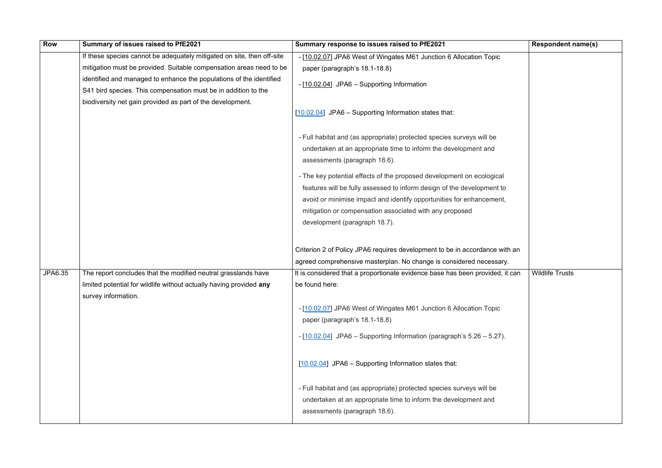| <b>Row</b> | Summary of issues raised to PfE2021                                    | Summary response to issues raised to PfE2021                                  | <b>Respondent name(s)</b> |
|------------|------------------------------------------------------------------------|-------------------------------------------------------------------------------|---------------------------|
|            | If these species cannot be adequately mitigated on site, then off-site | - [10.02.07] JPA6 West of Wingates M61 Junction 6 Allocation Topic            |                           |
|            | mitigation must be provided. Suitable compensation areas need to be    | paper (paragraph's 18.1-18.8)                                                 |                           |
|            | identified and managed to enhance the populations of the identified    | - [10.02.04] JPA6 - Supporting Information                                    |                           |
|            | S41 bird species. This compensation must be in addition to the         |                                                                               |                           |
|            | biodiversity net gain provided as part of the development.             |                                                                               |                           |
|            |                                                                        | $[10.02.04]$ JPA6 – Supporting Information states that:                       |                           |
|            |                                                                        |                                                                               |                           |
|            |                                                                        | - Full habitat and (as appropriate) protected species surveys will be         |                           |
|            |                                                                        | undertaken at an appropriate time to inform the development and               |                           |
|            |                                                                        | assessments (paragraph 18.6).                                                 |                           |
|            |                                                                        | - The key potential effects of the proposed development on ecological         |                           |
|            |                                                                        | features will be fully assessed to inform design of the development to        |                           |
|            |                                                                        | avoid or minimise impact and identify opportunities for enhancement,          |                           |
|            |                                                                        | mitigation or compensation associated with any proposed                       |                           |
|            |                                                                        | development (paragraph 18.7).                                                 |                           |
|            |                                                                        |                                                                               |                           |
|            |                                                                        | Criterion 2 of Policy JPA6 requires development to be in accordance with an   |                           |
|            |                                                                        | agreed comprehensive masterplan. No change is considered necessary.           |                           |
| JPA6.35    | The report concludes that the modified neutral grasslands have         | It is considered that a proportionate evidence base has been provided, it can | <b>Wildlife Trusts</b>    |
|            | limited potential for wildlife without actually having provided any    | be found here:                                                                |                           |
|            | survey information.                                                    |                                                                               |                           |
|            |                                                                        | - [10.02.07] JPA6 West of Wingates M61 Junction 6 Allocation Topic            |                           |
|            |                                                                        | paper (paragraph's 18.1-18.8)                                                 |                           |
|            |                                                                        | $-$ [10.02.04] JPA6 – Supporting Information (paragraph's 5.26 – 5.27).       |                           |
|            |                                                                        |                                                                               |                           |
|            |                                                                        |                                                                               |                           |
|            |                                                                        | [10.02.04] JPA6 - Supporting Information states that:                         |                           |
|            |                                                                        |                                                                               |                           |
|            |                                                                        | - Full habitat and (as appropriate) protected species surveys will be         |                           |
|            |                                                                        | undertaken at an appropriate time to inform the development and               |                           |
|            |                                                                        | assessments (paragraph 18.6).                                                 |                           |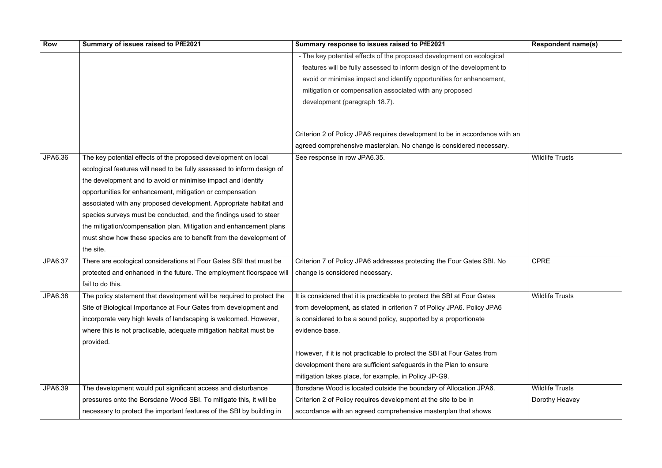| <b>Row</b>     | Summary of issues raised to PfE2021                                    | Summary response to issues raised to PfE2021                                | <b>Respondent name(s)</b> |
|----------------|------------------------------------------------------------------------|-----------------------------------------------------------------------------|---------------------------|
|                |                                                                        | - The key potential effects of the proposed development on ecological       |                           |
|                |                                                                        | features will be fully assessed to inform design of the development to      |                           |
|                |                                                                        | avoid or minimise impact and identify opportunities for enhancement,        |                           |
|                |                                                                        | mitigation or compensation associated with any proposed                     |                           |
|                |                                                                        | development (paragraph 18.7).                                               |                           |
|                |                                                                        | Criterion 2 of Policy JPA6 requires development to be in accordance with an |                           |
|                |                                                                        | agreed comprehensive masterplan. No change is considered necessary.         |                           |
| JPA6.36        | The key potential effects of the proposed development on local         | See response in row JPA6.35.                                                | <b>Wildlife Trusts</b>    |
|                | ecological features will need to be fully assessed to inform design of |                                                                             |                           |
|                | the development and to avoid or minimise impact and identify           |                                                                             |                           |
|                | opportunities for enhancement, mitigation or compensation              |                                                                             |                           |
|                | associated with any proposed development. Appropriate habitat and      |                                                                             |                           |
|                | species surveys must be conducted, and the findings used to steer      |                                                                             |                           |
|                | the mitigation/compensation plan. Mitigation and enhancement plans     |                                                                             |                           |
|                | must show how these species are to benefit from the development of     |                                                                             |                           |
|                | the site.                                                              |                                                                             |                           |
| <b>JPA6.37</b> | There are ecological considerations at Four Gates SBI that must be     | Criterion 7 of Policy JPA6 addresses protecting the Four Gates SBI. No      | <b>CPRE</b>               |
|                | protected and enhanced in the future. The employment floorspace will   | change is considered necessary.                                             |                           |
|                | fail to do this.                                                       |                                                                             |                           |
| <b>JPA6.38</b> | The policy statement that development will be required to protect the  | It is considered that it is practicable to protect the SBI at Four Gates    | <b>Wildlife Trusts</b>    |
|                | Site of Biological Importance at Four Gates from development and       | from development, as stated in criterion 7 of Policy JPA6. Policy JPA6      |                           |
|                | incorporate very high levels of landscaping is welcomed. However,      | is considered to be a sound policy, supported by a proportionate            |                           |
|                | where this is not practicable, adequate mitigation habitat must be     | evidence base.                                                              |                           |
|                | provided.                                                              |                                                                             |                           |
|                |                                                                        | However, if it is not practicable to protect the SBI at Four Gates from     |                           |
|                |                                                                        | development there are sufficient safeguards in the Plan to ensure           |                           |
|                |                                                                        | mitigation takes place, for example, in Policy JP-G9.                       |                           |
| JPA6.39        | The development would put significant access and disturbance           | Borsdane Wood is located outside the boundary of Allocation JPA6.           | <b>Wildlife Trusts</b>    |
|                | pressures onto the Borsdane Wood SBI. To mitigate this, it will be     | Criterion 2 of Policy requires development at the site to be in             | Dorothy Heavey            |
|                | necessary to protect the important features of the SBI by building in  | accordance with an agreed comprehensive masterplan that shows               |                           |

|                         | <b>Respondent name(s)</b> |
|-------------------------|---------------------------|
| $\overline{\mathbf{a}}$ |                           |
| to                      |                           |
| ıt,                     |                           |
|                         |                           |
|                         |                           |
|                         |                           |
| with an                 |                           |
|                         |                           |
| ıry.                    | <b>Wildlife Trusts</b>    |
|                         |                           |
|                         |                           |
|                         |                           |
|                         |                           |
|                         |                           |
|                         |                           |
|                         |                           |
|                         |                           |
| lo                      | <b>CPRE</b>               |
|                         |                           |
|                         |                           |
|                         | <b>Wildlife Trusts</b>    |
| ì                       |                           |
|                         |                           |
|                         |                           |
|                         |                           |
|                         |                           |
|                         |                           |
|                         |                           |
|                         | <b>Wildlife Trusts</b>    |
|                         | Dorothy Heavey            |
|                         |                           |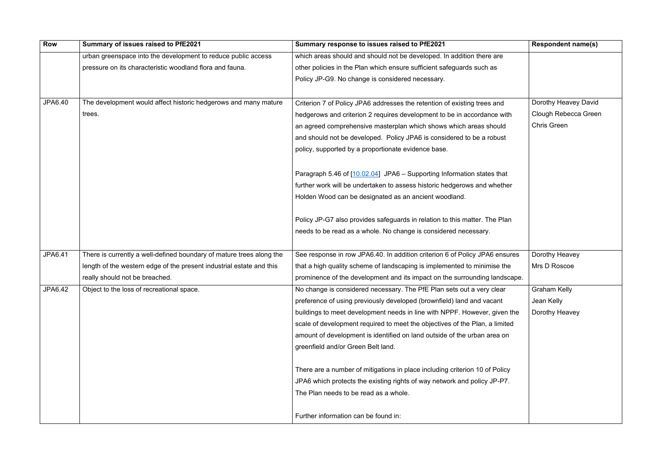| <b>Row</b>     | Summary of issues raised to PfE2021                                  | Summary response to issues raised to PfE2021                                | <b>Respondent name(s)</b> |
|----------------|----------------------------------------------------------------------|-----------------------------------------------------------------------------|---------------------------|
|                | urban greenspace into the development to reduce public access        | which areas should and should not be developed. In addition there are       |                           |
|                | pressure on its characteristic woodland flora and fauna.             | other policies in the Plan which ensure sufficient safeguards such as       |                           |
|                |                                                                      | Policy JP-G9. No change is considered necessary.                            |                           |
|                |                                                                      |                                                                             |                           |
| <b>JPA6.40</b> | The development would affect historic hedgerows and many mature      | Criterion 7 of Policy JPA6 addresses the retention of existing trees and    | Dorothy Heavey David      |
|                | trees.                                                               | hedgerows and criterion 2 requires development to be in accordance with     | Clough Rebecca Green      |
|                |                                                                      | an agreed comprehensive masterplan which shows which areas should           | <b>Chris Green</b>        |
|                |                                                                      | and should not be developed. Policy JPA6 is considered to be a robust       |                           |
|                |                                                                      | policy, supported by a proportionate evidence base.                         |                           |
|                |                                                                      | Paragraph 5.46 of [10.02.04] JPA6 - Supporting Information states that      |                           |
|                |                                                                      | further work will be undertaken to assess historic hedgerows and whether    |                           |
|                |                                                                      | Holden Wood can be designated as an ancient woodland.                       |                           |
|                |                                                                      | Policy JP-G7 also provides safeguards in relation to this matter. The Plan  |                           |
|                |                                                                      | needs to be read as a whole. No change is considered necessary.             |                           |
| JPA6.41        | There is currently a well-defined boundary of mature trees along the | See response in row JPA6.40. In addition criterion 6 of Policy JPA6 ensures | Dorothy Heavey            |
|                | length of the western edge of the present industrial estate and this | that a high quality scheme of landscaping is implemented to minimise the    | Mrs D Roscoe              |
|                | really should not be breached.                                       | prominence of the development and its impact on the surrounding landscape.  |                           |
| JPA6.42        | Object to the loss of recreational space.                            | No change is considered necessary. The PfE Plan sets out a very clear       | <b>Graham Kelly</b>       |
|                |                                                                      | preference of using previously developed (brownfield) land and vacant       | Jean Kelly                |
|                |                                                                      | buildings to meet development needs in line with NPPF. However, given the   | Dorothy Heavey            |
|                |                                                                      | scale of development required to meet the objectives of the Plan, a limited |                           |
|                |                                                                      | amount of development is identified on land outside of the urban area on    |                           |
|                |                                                                      | greenfield and/or Green Belt land.                                          |                           |
|                |                                                                      | There are a number of mitigations in place including criterion 10 of Policy |                           |
|                |                                                                      | JPA6 which protects the existing rights of way network and policy JP-P7.    |                           |
|                |                                                                      | The Plan needs to be read as a whole.                                       |                           |
|                |                                                                      | Further information can be found in:                                        |                           |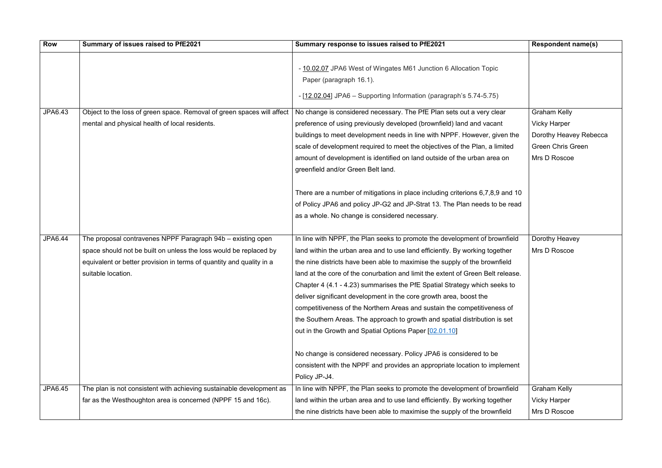| <b>Row</b> | Summary of issues raised to PfE2021                                    | Summary response to issues raised to PfE2021                                                                                                                                                                   | <b>Respondent name(s)</b> |
|------------|------------------------------------------------------------------------|----------------------------------------------------------------------------------------------------------------------------------------------------------------------------------------------------------------|---------------------------|
|            |                                                                        | - 10.02.07 JPA6 West of Wingates M61 Junction 6 Allocation Topic<br>Paper (paragraph 16.1).<br>- [12.02.04] JPA6 - Supporting Information (paragraph's 5.74-5.75)                                              |                           |
| JPA6.43    | Object to the loss of green space. Removal of green spaces will affect | No change is considered necessary. The PfE Plan sets out a very clear                                                                                                                                          | <b>Graham Kelly</b>       |
|            | mental and physical health of local residents.                         | preference of using previously developed (brownfield) land and vacant                                                                                                                                          | <b>Vicky Harper</b>       |
|            |                                                                        | buildings to meet development needs in line with NPPF. However, given the                                                                                                                                      | Dorothy Heavey Rebecca    |
|            |                                                                        | scale of development required to meet the objectives of the Plan, a limited                                                                                                                                    | <b>Green Chris Green</b>  |
|            |                                                                        | amount of development is identified on land outside of the urban area on<br>greenfield and/or Green Belt land.                                                                                                 | Mrs D Roscoe              |
|            |                                                                        | There are a number of mitigations in place including criterions 6,7,8,9 and 10<br>of Policy JPA6 and policy JP-G2 and JP-Strat 13. The Plan needs to be read<br>as a whole. No change is considered necessary. |                           |
| JPA6.44    | The proposal contravenes NPPF Paragraph 94b - existing open            | In line with NPPF, the Plan seeks to promote the development of brownfield                                                                                                                                     | Dorothy Heavey            |
|            | space should not be built on unless the loss would be replaced by      | land within the urban area and to use land efficiently. By working together                                                                                                                                    | Mrs D Roscoe              |
|            | equivalent or better provision in terms of quantity and quality in a   | the nine districts have been able to maximise the supply of the brownfield                                                                                                                                     |                           |
|            | suitable location.                                                     | land at the core of the conurbation and limit the extent of Green Belt release.                                                                                                                                |                           |
|            |                                                                        | Chapter 4 (4.1 - 4.23) summarises the PfE Spatial Strategy which seeks to                                                                                                                                      |                           |
|            |                                                                        | deliver significant development in the core growth area, boost the                                                                                                                                             |                           |
|            |                                                                        | competitiveness of the Northern Areas and sustain the competitiveness of                                                                                                                                       |                           |
|            |                                                                        | the Southern Areas. The approach to growth and spatial distribution is set                                                                                                                                     |                           |
|            |                                                                        | out in the Growth and Spatial Options Paper [02.01.10]                                                                                                                                                         |                           |
|            |                                                                        | No change is considered necessary. Policy JPA6 is considered to be<br>consistent with the NPPF and provides an appropriate location to implement<br>Policy JP-J4.                                              |                           |
| JPA6.45    | The plan is not consistent with achieving sustainable development as   | In line with NPPF, the Plan seeks to promote the development of brownfield                                                                                                                                     | <b>Graham Kelly</b>       |
|            | far as the Westhoughton area is concerned (NPPF 15 and 16c).           | land within the urban area and to use land efficiently. By working together                                                                                                                                    | <b>Vicky Harper</b>       |
|            |                                                                        | the nine districts have been able to maximise the supply of the brownfield                                                                                                                                     | Mrs D Roscoe              |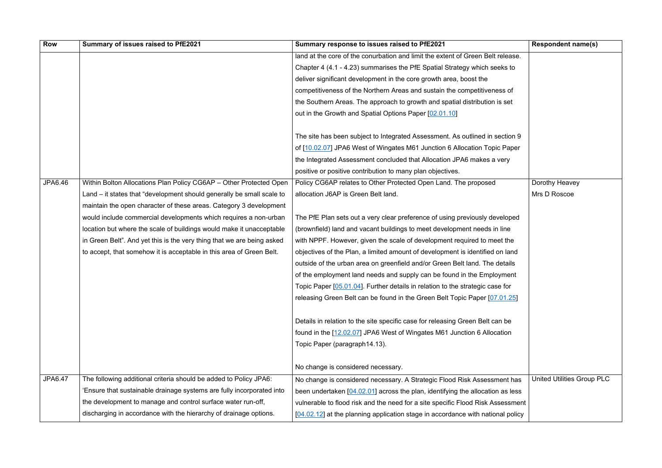| <b>Row</b>     | Summary of issues raised to PfE2021                                    | Summary response to issues raised to PfE2021                                     | <b>Respondent name(s)</b>         |
|----------------|------------------------------------------------------------------------|----------------------------------------------------------------------------------|-----------------------------------|
|                |                                                                        | land at the core of the conurbation and limit the extent of Green Belt release.  |                                   |
|                |                                                                        | Chapter 4 (4.1 - 4.23) summarises the PfE Spatial Strategy which seeks to        |                                   |
|                |                                                                        | deliver significant development in the core growth area, boost the               |                                   |
|                |                                                                        | competitiveness of the Northern Areas and sustain the competitiveness of         |                                   |
|                |                                                                        | the Southern Areas. The approach to growth and spatial distribution is set       |                                   |
|                |                                                                        | out in the Growth and Spatial Options Paper [02.01.10]                           |                                   |
|                |                                                                        |                                                                                  |                                   |
|                |                                                                        | The site has been subject to Integrated Assessment. As outlined in section 9     |                                   |
|                |                                                                        | of [10.02.07] JPA6 West of Wingates M61 Junction 6 Allocation Topic Paper        |                                   |
|                |                                                                        | the Integrated Assessment concluded that Allocation JPA6 makes a very            |                                   |
|                |                                                                        | positive or positive contribution to many plan objectives.                       |                                   |
| JPA6.46        | Within Bolton Allocations Plan Policy CG6AP - Other Protected Open     | Policy CG6AP relates to Other Protected Open Land. The proposed                  | Dorothy Heavey                    |
|                | Land – it states that "development should generally be small scale to  | allocation J6AP is Green Belt land.                                              | Mrs D Roscoe                      |
|                | maintain the open character of these areas. Category 3 development     |                                                                                  |                                   |
|                | would include commercial developments which requires a non-urban       | The PfE Plan sets out a very clear preference of using previously developed      |                                   |
|                | location but where the scale of buildings would make it unacceptable   | (brownfield) land and vacant buildings to meet development needs in line         |                                   |
|                | in Green Belt". And yet this is the very thing that we are being asked | with NPPF. However, given the scale of development required to meet the          |                                   |
|                | to accept, that somehow it is acceptable in this area of Green Belt.   | objectives of the Plan, a limited amount of development is identified on land    |                                   |
|                |                                                                        | outside of the urban area on greenfield and/or Green Belt land. The details      |                                   |
|                |                                                                        | of the employment land needs and supply can be found in the Employment           |                                   |
|                |                                                                        | Topic Paper [05.01.04]. Further details in relation to the strategic case for    |                                   |
|                |                                                                        | releasing Green Belt can be found in the Green Belt Topic Paper [07.01.25]       |                                   |
|                |                                                                        |                                                                                  |                                   |
|                |                                                                        | Details in relation to the site specific case for releasing Green Belt can be    |                                   |
|                |                                                                        | found in the [12.02.07] JPA6 West of Wingates M61 Junction 6 Allocation          |                                   |
|                |                                                                        | Topic Paper (paragraph14.13).                                                    |                                   |
|                |                                                                        |                                                                                  |                                   |
|                |                                                                        | No change is considered necessary.                                               |                                   |
| <b>JPA6.47</b> | The following additional criteria should be added to Policy JPA6:      | No change is considered necessary. A Strategic Flood Risk Assessment has         | <b>United Utilities Group PLC</b> |
|                | 'Ensure that sustainable drainage systems are fully incorporated into  | been undertaken $[04.02.01]$ across the plan, identifying the allocation as less |                                   |
|                | the development to manage and control surface water run-off,           | vulnerable to flood risk and the need for a site specific Flood Risk Assessment  |                                   |
|                | discharging in accordance with the hierarchy of drainage options.      | [04.02.12] at the planning application stage in accordance with national policy  |                                   |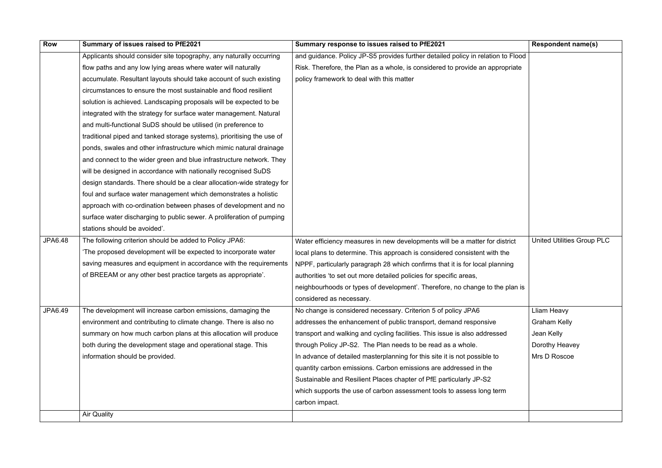| <b>Row</b>     | Summary of issues raised to PfE2021                                    | Summary response to issues raised to PfE2021                                     | <b>Respondent name(s)</b>         |
|----------------|------------------------------------------------------------------------|----------------------------------------------------------------------------------|-----------------------------------|
|                | Applicants should consider site topography, any naturally occurring    | and guidance. Policy JP-S5 provides further detailed policy in relation to Flood |                                   |
|                | flow paths and any low lying areas where water will naturally          | Risk. Therefore, the Plan as a whole, is considered to provide an appropriate    |                                   |
|                | accumulate. Resultant layouts should take account of such existing     | policy framework to deal with this matter                                        |                                   |
|                | circumstances to ensure the most sustainable and flood resilient       |                                                                                  |                                   |
|                | solution is achieved. Landscaping proposals will be expected to be     |                                                                                  |                                   |
|                | integrated with the strategy for surface water management. Natural     |                                                                                  |                                   |
|                | and multi-functional SuDS should be utilised (in preference to         |                                                                                  |                                   |
|                | traditional piped and tanked storage systems), prioritising the use of |                                                                                  |                                   |
|                | ponds, swales and other infrastructure which mimic natural drainage    |                                                                                  |                                   |
|                | and connect to the wider green and blue infrastructure network. They   |                                                                                  |                                   |
|                | will be designed in accordance with nationally recognised SuDS         |                                                                                  |                                   |
|                | design standards. There should be a clear allocation-wide strategy for |                                                                                  |                                   |
|                | foul and surface water management which demonstrates a holistic        |                                                                                  |                                   |
|                | approach with co-ordination between phases of development and no       |                                                                                  |                                   |
|                | surface water discharging to public sewer. A proliferation of pumping  |                                                                                  |                                   |
|                | stations should be avoided'.                                           |                                                                                  |                                   |
| <b>JPA6.48</b> | The following criterion should be added to Policy JPA6:                | Water efficiency measures in new developments will be a matter for district      | <b>United Utilities Group PLC</b> |
|                | 'The proposed development will be expected to incorporate water        | local plans to determine. This approach is considered consistent with the        |                                   |
|                | saving measures and equipment in accordance with the requirements      | NPPF, particularly paragraph 28 which confirms that it is for local planning     |                                   |
|                | of BREEAM or any other best practice targets as appropriate'.          | authorities 'to set out more detailed policies for specific areas,               |                                   |
|                |                                                                        | neighbourhoods or types of development'. Therefore, no change to the plan is     |                                   |
|                |                                                                        | considered as necessary.                                                         |                                   |
| <b>JPA6.49</b> | The development will increase carbon emissions, damaging the           | No change is considered necessary. Criterion 5 of policy JPA6                    | Lliam Heavy                       |
|                | environment and contributing to climate change. There is also no       | addresses the enhancement of public transport, demand responsive                 | <b>Graham Kelly</b>               |
|                | summary on how much carbon plans at this allocation will produce       | transport and walking and cycling facilities. This issue is also addressed       | Jean Kelly                        |
|                | both during the development stage and operational stage. This          | through Policy JP-S2. The Plan needs to be read as a whole.                      | Dorothy Heavey                    |
|                | information should be provided.                                        | In advance of detailed masterplanning for this site it is not possible to        | Mrs D Roscoe                      |
|                |                                                                        | quantity carbon emissions. Carbon emissions are addressed in the                 |                                   |
|                |                                                                        | Sustainable and Resilient Places chapter of PfE particularly JP-S2               |                                   |
|                |                                                                        | which supports the use of carbon assessment tools to assess long term            |                                   |
|                |                                                                        | carbon impact.                                                                   |                                   |
|                | <b>Air Quality</b>                                                     |                                                                                  |                                   |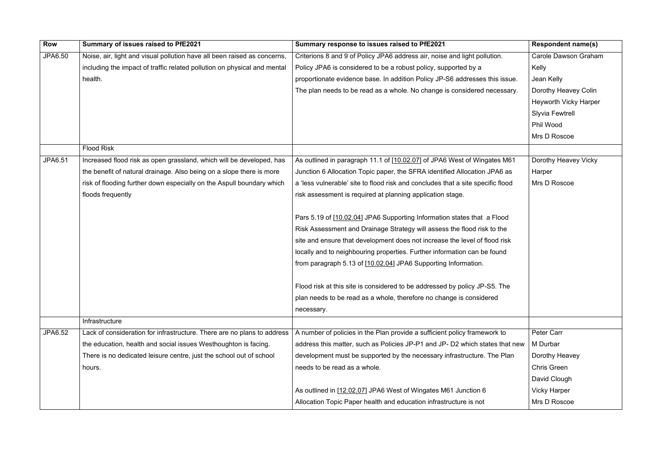| <b>Row</b>     | Summary of issues raised to PfE2021                                      | Summary response to issues raised to PfE2021                                    | <b>Respondent name(s)</b>    |
|----------------|--------------------------------------------------------------------------|---------------------------------------------------------------------------------|------------------------------|
| JPA6.50        | Noise, air, light and visual pollution have all been raised as concerns, | Criterions 8 and 9 of Policy JPA6 address air, noise and light pollution.       | <b>Carole Dawson Graham</b>  |
|                | including the impact of traffic related pollution on physical and mental | Policy JPA6 is considered to be a robust policy, supported by a                 | Kelly                        |
|                | health.                                                                  | proportionate evidence base. In addition Policy JP-S6 addresses this issue.     | Jean Kelly                   |
|                |                                                                          | The plan needs to be read as a whole. No change is considered necessary.        | Dorothy Heavey Colin         |
|                |                                                                          |                                                                                 | <b>Heyworth Vicky Harper</b> |
|                |                                                                          |                                                                                 | <b>Slyvia Fewtrell</b>       |
|                |                                                                          |                                                                                 | Phil Wood                    |
|                |                                                                          |                                                                                 | Mrs D Roscoe                 |
|                | <b>Flood Risk</b>                                                        |                                                                                 |                              |
| <b>JPA6.51</b> | Increased flood risk as open grassland, which will be developed, has     | As outlined in paragraph 11.1 of [10.02.07] of JPA6 West of Wingates M61        | Dorothy Heavey Vicky         |
|                | the benefit of natural drainage. Also being on a slope there is more     | Junction 6 Allocation Topic paper, the SFRA identified Allocation JPA6 as       | Harper                       |
|                | risk of flooding further down especially on the Aspull boundary which    | a 'less vulnerable' site to flood risk and concludes that a site specific flood | Mrs D Roscoe                 |
|                | floods frequently                                                        | risk assessment is required at planning application stage.                      |                              |
|                |                                                                          |                                                                                 |                              |
|                |                                                                          | Pars 5.19 of [10.02.04] JPA6 Supporting Information states that a Flood         |                              |
|                |                                                                          | Risk Assessment and Drainage Strategy will assess the flood risk to the         |                              |
|                |                                                                          | site and ensure that development does not increase the level of flood risk      |                              |
|                |                                                                          | locally and to neighbouring properties. Further information can be found        |                              |
|                |                                                                          | from paragraph 5.13 of [10.02.04] JPA6 Supporting Information.                  |                              |
|                |                                                                          | Flood risk at this site is considered to be addressed by policy JP-S5. The      |                              |
|                |                                                                          | plan needs to be read as a whole, therefore no change is considered             |                              |
|                |                                                                          | necessary.                                                                      |                              |
|                | Infrastructure                                                           |                                                                                 |                              |
| JPA6.52        | Lack of consideration for infrastructure. There are no plans to address  | A number of policies in the Plan provide a sufficient policy framework to       | Peter Carr                   |
|                | the education, health and social issues Westhoughton is facing.          | address this matter, such as Policies JP-P1 and JP- D2 which states that new    | M Durbar                     |
|                | There is no dedicated leisure centre, just the school out of school      | development must be supported by the necessary infrastructure. The Plan         | Dorothy Heavey               |
|                | hours.                                                                   | needs to be read as a whole.                                                    | <b>Chris Green</b>           |
|                |                                                                          |                                                                                 | David Clough                 |
|                |                                                                          | As outlined in [12.02.07] JPA6 West of Wingates M61 Junction 6                  | <b>Vicky Harper</b>          |
|                |                                                                          | Allocation Topic Paper health and education infrastructure is not               | Mrs D Roscoe                 |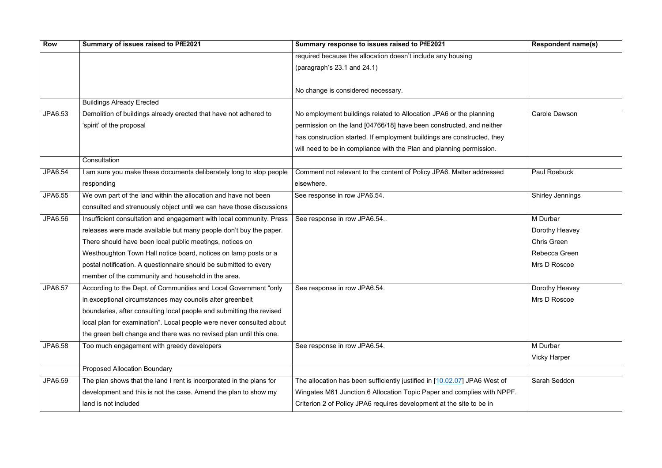| <b>Row</b> | Summary of issues raised to PfE2021                                  | Summary response to issues raised to PfE2021                              | <b>Respondent name(s)</b> |
|------------|----------------------------------------------------------------------|---------------------------------------------------------------------------|---------------------------|
|            |                                                                      | required because the allocation doesn't include any housing               |                           |
|            |                                                                      | (paragraph's 23.1 and 24.1)                                               |                           |
|            |                                                                      |                                                                           |                           |
|            |                                                                      | No change is considered necessary.                                        |                           |
|            | <b>Buildings Already Erected</b>                                     |                                                                           |                           |
| JPA6.53    | Demolition of buildings already erected that have not adhered to     | No employment buildings related to Allocation JPA6 or the planning        | <b>Carole Dawson</b>      |
|            | 'spirit' of the proposal                                             | permission on the land [04766/18] have been constructed, and neither      |                           |
|            |                                                                      | has construction started. If employment buildings are constructed, they   |                           |
|            |                                                                      | will need to be in compliance with the Plan and planning permission.      |                           |
|            | Consultation                                                         |                                                                           |                           |
| JPA6.54    | I am sure you make these documents deliberately long to stop people  | Comment not relevant to the content of Policy JPA6. Matter addressed      | Paul Roebuck              |
|            | responding                                                           | elsewhere.                                                                |                           |
| JPA6.55    | We own part of the land within the allocation and have not been      | See response in row JPA6.54.                                              | <b>Shirley Jennings</b>   |
|            | consulted and strenuously object until we can have those discussions |                                                                           |                           |
| JPA6.56    | Insufficient consultation and engagement with local community. Press | See response in row JPA6.54                                               | M Durbar                  |
|            | releases were made available but many people don't buy the paper.    |                                                                           | Dorothy Heavey            |
|            | There should have been local public meetings, notices on             |                                                                           | <b>Chris Green</b>        |
|            | Westhoughton Town Hall notice board, notices on lamp posts or a      |                                                                           | Rebecca Green             |
|            | postal notification. A questionnaire should be submitted to every    |                                                                           | Mrs D Roscoe              |
|            | member of the community and household in the area.                   |                                                                           |                           |
| JPA6.57    | According to the Dept. of Communities and Local Government "only     | See response in row JPA6.54.                                              | Dorothy Heavey            |
|            | in exceptional circumstances may councils alter greenbelt            |                                                                           | Mrs D Roscoe              |
|            | boundaries, after consulting local people and submitting the revised |                                                                           |                           |
|            | local plan for examination". Local people were never consulted about |                                                                           |                           |
|            | the green belt change and there was no revised plan until this one.  |                                                                           |                           |
| JPA6.58    | Too much engagement with greedy developers                           | See response in row JPA6.54.                                              | M Durbar                  |
|            |                                                                      |                                                                           | <b>Vicky Harper</b>       |
|            | <b>Proposed Allocation Boundary</b>                                  |                                                                           |                           |
| JPA6.59    | The plan shows that the land I rent is incorporated in the plans for | The allocation has been sufficiently justified in [10.02.07] JPA6 West of | Sarah Seddon              |
|            | development and this is not the case. Amend the plan to show my      | Wingates M61 Junction 6 Allocation Topic Paper and complies with NPPF.    |                           |
|            | land is not included                                                 | Criterion 2 of Policy JPA6 requires development at the site to be in      |                           |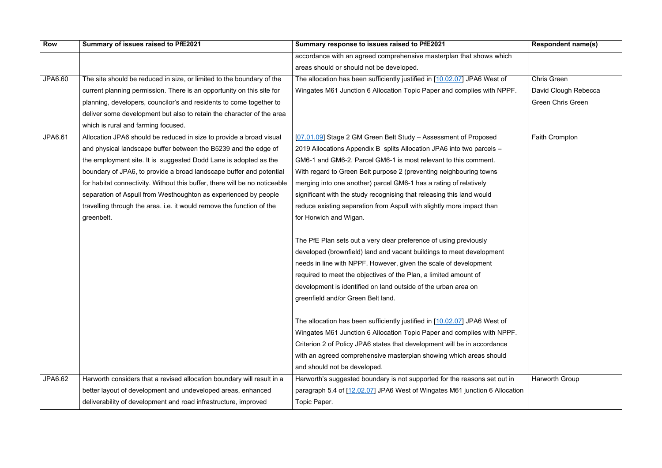| <b>Row</b> | Summary of issues raised to PfE2021                                        | Summary response to issues raised to PfE2021                                | <b>Respondent name(s)</b> |
|------------|----------------------------------------------------------------------------|-----------------------------------------------------------------------------|---------------------------|
|            |                                                                            | accordance with an agreed comprehensive masterplan that shows which         |                           |
|            |                                                                            | areas should or should not be developed.                                    |                           |
| JPA6.60    | The site should be reduced in size, or limited to the boundary of the      | The allocation has been sufficiently justified in [10.02.07] JPA6 West of   | <b>Chris Green</b>        |
|            | current planning permission. There is an opportunity on this site for      | Wingates M61 Junction 6 Allocation Topic Paper and complies with NPPF.      | David Clough Rebecca      |
|            | planning, developers, councilor's and residents to come together to        |                                                                             | <b>Green Chris Green</b>  |
|            | deliver some development but also to retain the character of the area      |                                                                             |                           |
|            | which is rural and farming focused.                                        |                                                                             |                           |
| JPA6.61    | Allocation JPA6 should be reduced in size to provide a broad visual        | [07.01.09] Stage 2 GM Green Belt Study - Assessment of Proposed             | Faith Crompton            |
|            | and physical landscape buffer between the B5239 and the edge of            | 2019 Allocations Appendix B splits Allocation JPA6 into two parcels -       |                           |
|            | the employment site. It is suggested Dodd Lane is adopted as the           | GM6-1 and GM6-2. Parcel GM6-1 is most relevant to this comment.             |                           |
|            | boundary of JPA6, to provide a broad landscape buffer and potential        | With regard to Green Belt purpose 2 (preventing neighbouring towns          |                           |
|            | for habitat connectivity. Without this buffer, there will be no noticeable | merging into one another) parcel GM6-1 has a rating of relatively           |                           |
|            | separation of Aspull from Westhoughton as experienced by people            | significant with the study recognising that releasing this land would       |                           |
|            | travelling through the area. i.e. it would remove the function of the      | reduce existing separation from Aspull with slightly more impact than       |                           |
|            | greenbelt.                                                                 | for Horwich and Wigan.                                                      |                           |
|            |                                                                            |                                                                             |                           |
|            |                                                                            | The PfE Plan sets out a very clear preference of using previously           |                           |
|            |                                                                            | developed (brownfield) land and vacant buildings to meet development        |                           |
|            |                                                                            | needs in line with NPPF. However, given the scale of development            |                           |
|            |                                                                            | required to meet the objectives of the Plan, a limited amount of            |                           |
|            |                                                                            | development is identified on land outside of the urban area on              |                           |
|            |                                                                            | greenfield and/or Green Belt land.                                          |                           |
|            |                                                                            | The allocation has been sufficiently justified in [10.02.07] JPA6 West of   |                           |
|            |                                                                            | Wingates M61 Junction 6 Allocation Topic Paper and complies with NPPF.      |                           |
|            |                                                                            | Criterion 2 of Policy JPA6 states that development will be in accordance    |                           |
|            |                                                                            | with an agreed comprehensive masterplan showing which areas should          |                           |
|            |                                                                            | and should not be developed.                                                |                           |
| JPA6.62    | Harworth considers that a revised allocation boundary will result in a     | Harworth's suggested boundary is not supported for the reasons set out in   | Harworth Group            |
|            | better layout of development and undeveloped areas, enhanced               | paragraph 5.4 of [12.02.07] JPA6 West of Wingates M61 junction 6 Allocation |                           |
|            | deliverability of development and road infrastructure, improved            | Topic Paper.                                                                |                           |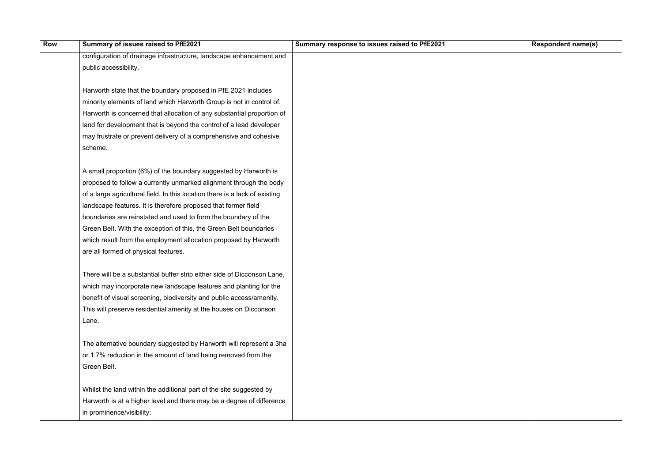| Respondent name(s) |
|--------------------|
|                    |
|                    |
|                    |
|                    |
|                    |
|                    |
|                    |
|                    |
|                    |
|                    |
|                    |
|                    |
|                    |
|                    |
|                    |
|                    |
|                    |
|                    |
|                    |
|                    |
|                    |
|                    |
|                    |
|                    |
|                    |
|                    |
|                    |
|                    |
|                    |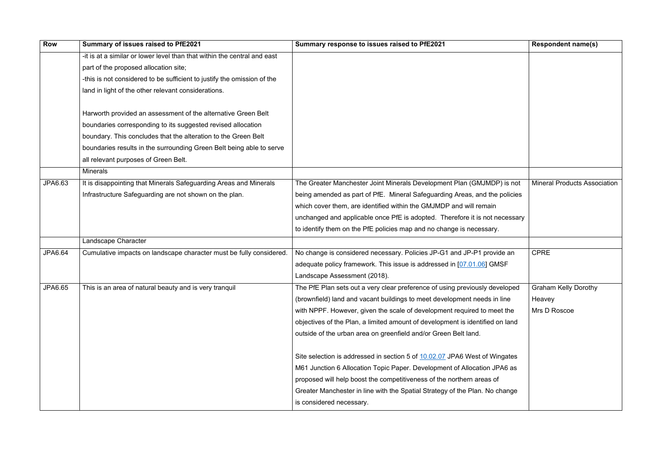| <b>Row</b>     | Summary of issues raised to PfE2021                                      | Summary response to issues raised to PfE2021                                  | <b>Respondent name(s)</b>           |
|----------------|--------------------------------------------------------------------------|-------------------------------------------------------------------------------|-------------------------------------|
|                | -it is at a similar or lower level than that within the central and east |                                                                               |                                     |
|                | part of the proposed allocation site;                                    |                                                                               |                                     |
|                | -this is not considered to be sufficient to justify the omission of the  |                                                                               |                                     |
|                | land in light of the other relevant considerations.                      |                                                                               |                                     |
|                |                                                                          |                                                                               |                                     |
|                | Harworth provided an assessment of the alternative Green Belt            |                                                                               |                                     |
|                | boundaries corresponding to its suggested revised allocation             |                                                                               |                                     |
|                | boundary. This concludes that the alteration to the Green Belt           |                                                                               |                                     |
|                | boundaries results in the surrounding Green Belt being able to serve     |                                                                               |                                     |
|                | all relevant purposes of Green Belt.                                     |                                                                               |                                     |
|                | <b>Minerals</b>                                                          |                                                                               |                                     |
| JPA6.63        | It is disappointing that Minerals Safeguarding Areas and Minerals        | The Greater Manchester Joint Minerals Development Plan (GMJMDP) is not        | <b>Mineral Products Association</b> |
|                | Infrastructure Safeguarding are not shown on the plan.                   | being amended as part of PfE. Mineral Safeguarding Areas, and the policies    |                                     |
|                |                                                                          | which cover them, are identified within the GMJMDP and will remain            |                                     |
|                |                                                                          | unchanged and applicable once PfE is adopted. Therefore it is not necessary   |                                     |
|                |                                                                          | to identify them on the PfE policies map and no change is necessary.          |                                     |
|                | Landscape Character                                                      |                                                                               |                                     |
| <b>JPA6.64</b> | Cumulative impacts on landscape character must be fully considered.      | No change is considered necessary. Policies JP-G1 and JP-P1 provide an        | <b>CPRE</b>                         |
|                |                                                                          | adequate policy framework. This issue is addressed in [07.01.06] GMSF         |                                     |
|                |                                                                          | Landscape Assessment (2018).                                                  |                                     |
| JPA6.65        | This is an area of natural beauty and is very tranguil                   | The PfE Plan sets out a very clear preference of using previously developed   | <b>Graham Kelly Dorothy</b>         |
|                |                                                                          | (brownfield) land and vacant buildings to meet development needs in line      | Heavey                              |
|                |                                                                          | with NPPF. However, given the scale of development required to meet the       | Mrs D Roscoe                        |
|                |                                                                          | objectives of the Plan, a limited amount of development is identified on land |                                     |
|                |                                                                          | outside of the urban area on greenfield and/or Green Belt land.               |                                     |
|                |                                                                          | Site selection is addressed in section 5 of 10.02.07 JPA6 West of Wingates    |                                     |
|                |                                                                          | M61 Junction 6 Allocation Topic Paper. Development of Allocation JPA6 as      |                                     |
|                |                                                                          | proposed will help boost the competitiveness of the northern areas of         |                                     |
|                |                                                                          | Greater Manchester in line with the Spatial Strategy of the Plan. No change   |                                     |
|                |                                                                          | is considered necessary.                                                      |                                     |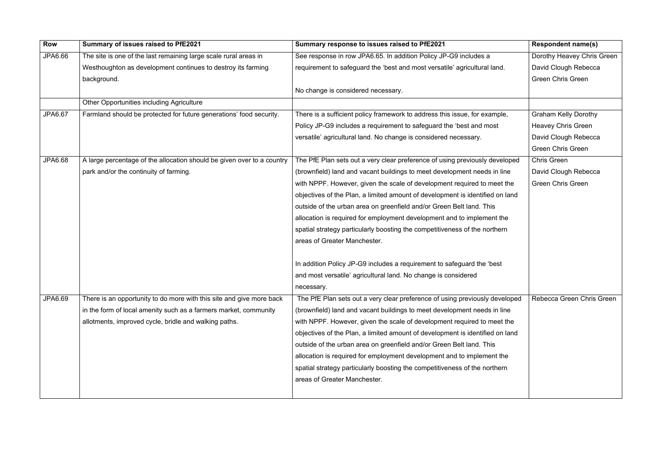| <b>Row</b>     | Summary of issues raised to PfE2021                                    | Summary response to issues raised to PfE2021                                  | <b>Respondent name(s)</b>   |
|----------------|------------------------------------------------------------------------|-------------------------------------------------------------------------------|-----------------------------|
| JPA6.66        | The site is one of the last remaining large scale rural areas in       | See response in row JPA6.65. In addition Policy JP-G9 includes a              | Dorothy Heavey Chris Green  |
|                | Westhoughton as development continues to destroy its farming           | requirement to safeguard the 'best and most versatile' agricultural land.     | David Clough Rebecca        |
|                | background.                                                            |                                                                               | <b>Green Chris Green</b>    |
|                |                                                                        | No change is considered necessary.                                            |                             |
|                | <b>Other Opportunities including Agriculture</b>                       |                                                                               |                             |
| <b>JPA6.67</b> | Farmland should be protected for future generations' food security.    | There is a sufficient policy framework to address this issue, for example,    | <b>Graham Kelly Dorothy</b> |
|                |                                                                        | Policy JP-G9 includes a requirement to safeguard the 'best and most           | <b>Heavey Chris Green</b>   |
|                |                                                                        | versatile' agricultural land. No change is considered necessary.              | David Clough Rebecca        |
|                |                                                                        |                                                                               | <b>Green Chris Green</b>    |
| <b>JPA6.68</b> | A large percentage of the allocation should be given over to a country | The PfE Plan sets out a very clear preference of using previously developed   | <b>Chris Green</b>          |
|                | park and/or the continuity of farming.                                 | (brownfield) land and vacant buildings to meet development needs in line      | David Clough Rebecca        |
|                |                                                                        | with NPPF. However, given the scale of development required to meet the       | <b>Green Chris Green</b>    |
|                |                                                                        | objectives of the Plan, a limited amount of development is identified on land |                             |
|                |                                                                        | outside of the urban area on greenfield and/or Green Belt land. This          |                             |
|                |                                                                        | allocation is required for employment development and to implement the        |                             |
|                |                                                                        | spatial strategy particularly boosting the competitiveness of the northern    |                             |
|                |                                                                        | areas of Greater Manchester.                                                  |                             |
|                |                                                                        |                                                                               |                             |
|                |                                                                        | In addition Policy JP-G9 includes a requirement to safeguard the 'best        |                             |
|                |                                                                        | and most versatile' agricultural land. No change is considered                |                             |
|                |                                                                        | necessary.                                                                    |                             |
| JPA6.69        | There is an opportunity to do more with this site and give more back   | The PfE Plan sets out a very clear preference of using previously developed   | Rebecca Green Chris Green   |
|                | in the form of local amenity such as a farmers market, community       | (brownfield) land and vacant buildings to meet development needs in line      |                             |
|                | allotments, improved cycle, bridle and walking paths.                  | with NPPF. However, given the scale of development required to meet the       |                             |
|                |                                                                        | objectives of the Plan, a limited amount of development is identified on land |                             |
|                |                                                                        | outside of the urban area on greenfield and/or Green Belt land. This          |                             |
|                |                                                                        | allocation is required for employment development and to implement the        |                             |
|                |                                                                        | spatial strategy particularly boosting the competitiveness of the northern    |                             |
|                |                                                                        | areas of Greater Manchester.                                                  |                             |
|                |                                                                        |                                                                               |                             |